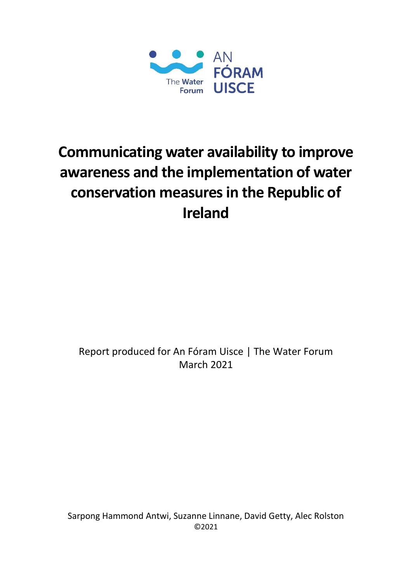

# **Communicating water availability to improve awareness and the implementation of water**  conservation measures in the Republic of **Ireland**

Report produced for An Fóram Uisce | The Water Forum March 2021

Sarpong Hammond Antwi, Suzanne Linnane, David Getty, Alec Rolston ©2021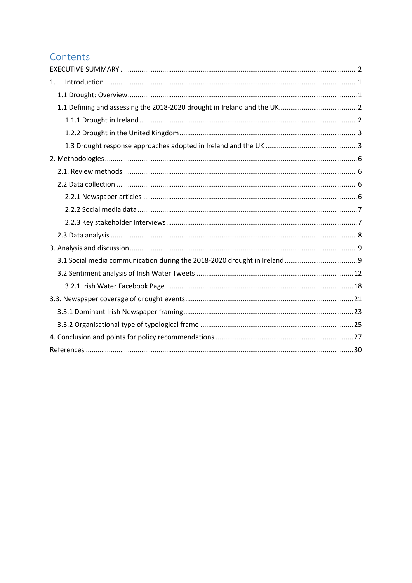# Contents

| 1. |  |
|----|--|
|    |  |
|    |  |
|    |  |
|    |  |
|    |  |
|    |  |
|    |  |
|    |  |
|    |  |
|    |  |
|    |  |
|    |  |
|    |  |
|    |  |
|    |  |
|    |  |
|    |  |
|    |  |
|    |  |
|    |  |
|    |  |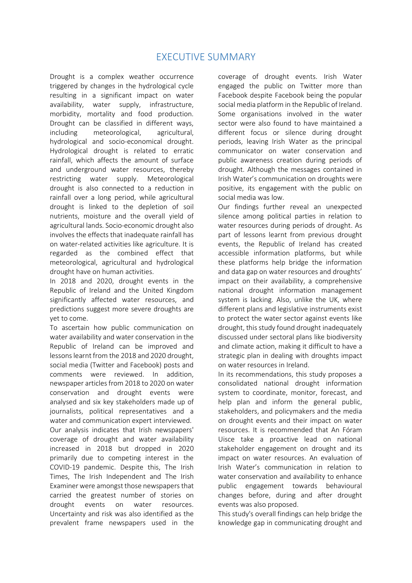# EXECUTIVE SUMMARY

<span id="page-2-0"></span>Drought is a complex weather occurrence triggered by changes in the hydrological cycle resulting in a significant impact on water availability, water supply, infrastructure, morbidity, mortality and food production. Drought can be classified in different ways, including meteorological, agricultural, hydrological and socio-economical drought. Hydrological drought is related to erratic rainfall, which affects the amount of surface and underground water resources, thereby restricting water supply. Meteorological drought is also connected to a reduction in rainfall over a long period, while agricultural drought is linked to the depletion of soil nutrients, moisture and the overall yield of agricultural lands. Socio-economic drought also involves the effects that inadequate rainfall has on water-related activities like agriculture. It is regarded as the combined effect that meteorological, agricultural and hydrological drought have on human activities.

In 2018 and 2020, drought events in the Republic of Ireland and the United Kingdom significantly affected water resources, and predictions suggest more severe droughts are yet to come.

To ascertain how public communication on water availability and water conservation in the Republic of Ireland can be improved and lessons learnt from the 2018 and 2020 drought, social media (Twitter and Facebook) posts and comments were reviewed. In addition, newspaper articles from 2018 to 2020 on water conservation and drought events were analysed and six key stakeholders made up of journalists, political representatives and a water and communication expert interviewed. Our analysis indicates that Irish newspapers' coverage of drought and water availability increased in 2018 but dropped in 2020 primarily due to competing interest in the COVID-19 pandemic. Despite this, The Irish Times, The Irish Independent and The Irish Examiner were amongst those newspapers that carried the greatest number of stories on drought events on water resources. Uncertainty and risk was also identified as the prevalent frame newspapers used in the coverage of drought events. Irish Water engaged the public on Twitter more than Facebook despite Facebook being the popular social media platform in the Republic of Ireland. Some organisations involved in the water sector were also found to have maintained a different focus or silence during drought periods, leaving Irish Water as the principal communicator on water conservation and public awareness creation during periods of drought. Although the messages contained in Irish Water's communication on droughts were positive, its engagement with the public on social media was low.

Our findings further reveal an unexpected silence among political parties in relation to water resources during periods of drought. As part of lessons learnt from previous drought events, the Republic of Ireland has created accessible information platforms, but while these platforms help bridge the information and data gap on water resources and droughts' impact on their availability, a comprehensive national drought information management system is lacking. Also, unlike the UK, where different plans and legislative instruments exist to protect the water sector against events like drought, this study found drought inadequately discussed under sectoral plans like biodiversity and climate action, making it difficult to have a strategic plan in dealing with droughts impact on water resources in Ireland.

In its recommendations, this study proposes a consolidated national drought information system to coordinate, monitor, forecast, and help plan and inform the general public, stakeholders, and policymakers and the media on drought events and their impact on water resources. It is recommended that An Fóram Uisce take a proactive lead on national stakeholder engagement on drought and its impact on water resources. An evaluation of Irish Water's communication in relation to water conservation and availability to enhance public engagement towards behavioural changes before, during and after drought events was also proposed.

This study's overall findings can help bridge the knowledge gap in communicating drought and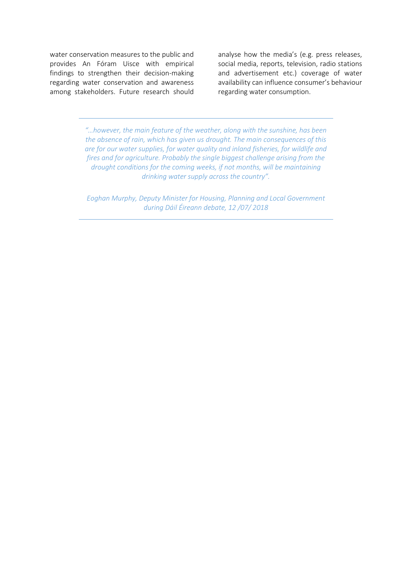water conservation measures to the public and provides An Fóram Uisce with empirical findings to strengthen their decision-making regarding water conservation and awareness among stakeholders. Future research should analyse how the media's (e.g. press releases, social media, reports, television, radio stations and advertisement etc.) coverage of water availability can influence consumer's behaviour regarding water consumption.

*"…however, the main feature of the weather, along with the sunshine, has been the absence of rain, which has given us drought. The main consequences of this are for our water supplies, for water quality and inland fisheries, for wildlife and fires and for agriculture. Probably the single biggest challenge arising from the drought conditions for the coming weeks, if not months, will be maintaining drinking water supply across the country".*

*Eoghan Murphy, Deputy Minister for Housing, Planning and Local Government during Dáil Éireann debate, 12 /07/ 2018*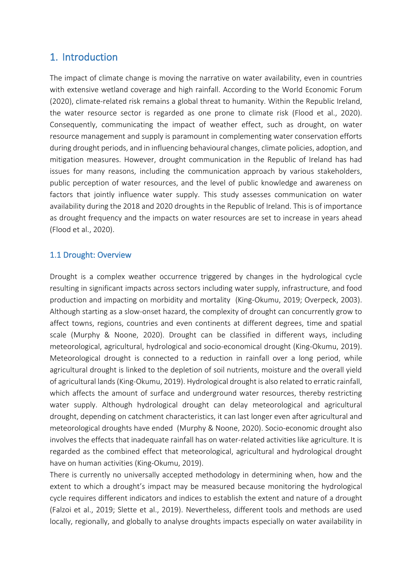# <span id="page-4-0"></span>1. Introduction

The impact of climate change is moving the narrative on water availability, even in countries with extensive wetland coverage and high rainfall. According to the World Economic Forum (2020), climate-related risk remains a global threat to humanity. Within the Republic Ireland, the water resource sector is regarded as one prone to climate risk (Flood et al., 2020). Consequently, communicating the impact of weather effect, such as drought, on water resource management and supply is paramount in complementing water conservation efforts during drought periods, and in influencing behavioural changes, climate policies, adoption, and mitigation measures. However, drought communication in the Republic of Ireland has had issues for many reasons, including the communication approach by various stakeholders, public perception of water resources, and the level of public knowledge and awareness on factors that jointly influence water supply. This study assesses communication on water availability during the 2018 and 2020 droughts in the Republic of Ireland. This is of importance as drought frequency and the impacts on water resources are set to increase in years ahead (Flood et al., 2020).

#### <span id="page-4-1"></span>1.1 Drought: Overview

Drought is a complex weather occurrence triggered by changes in the hydrological cycle resulting in significant impacts across sectors including water supply, infrastructure, and food production and impacting on morbidity and mortality (King-Okumu, 2019; Overpeck, 2003). Although starting as a slow-onset hazard, the complexity of drought can concurrently grow to affect towns, regions, countries and even continents at different degrees, time and spatial scale (Murphy & Noone, 2020). Drought can be classified in different ways, including meteorological, agricultural, hydrological and socio-economical drought (King-Okumu, 2019). Meteorological drought is connected to a reduction in rainfall over a long period, while agricultural drought is linked to the depletion of soil nutrients, moisture and the overall yield of agricultural lands (King-Okumu, 2019). Hydrological drought is also related to erratic rainfall, which affects the amount of surface and underground water resources, thereby restricting water supply. Although hydrological drought can delay meteorological and agricultural drought, depending on catchment characteristics, it can last longer even after agricultural and meteorological droughts have ended (Murphy & Noone, 2020). Socio-economic drought also involves the effects that inadequate rainfall has on water-related activities like agriculture. It is regarded as the combined effect that meteorological, agricultural and hydrological drought have on human activities (King-Okumu, 2019).

There is currently no universally accepted methodology in determining when, how and the extent to which a drought's impact may be measured because monitoring the hydrological cycle requires different indicators and indices to establish the extent and nature of a drought (Falzoi et al., 2019; Slette et al., 2019). Nevertheless, different tools and methods are used locally, regionally, and globally to analyse droughts impacts especially on water availability in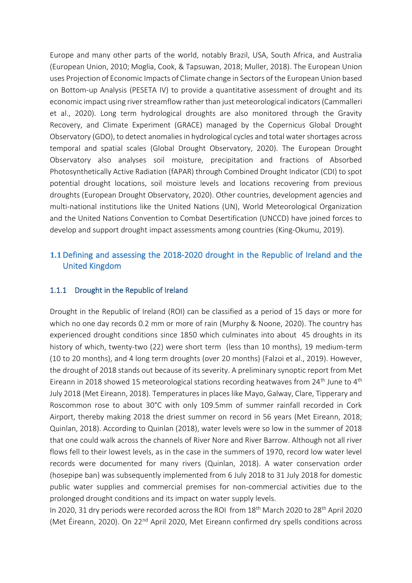Europe and many other parts of the world, notably Brazil, USA, South Africa, and Australia (European Union, 2010; Moglia, Cook, & Tapsuwan, 2018; Muller, 2018). The European Union uses Projection of Economic Impacts of Climate change in Sectors of the European Union based on Bottom-up Analysis (PESETA IV) to provide a quantitative assessment of drought and its economic impact using river streamflow rather than just meteorological indicators(Cammalleri et al., 2020). Long term hydrological droughts are also monitored through the Gravity Recovery, and Climate Experiment (GRACE) managed by the Copernicus Global Drought Observatory (GDO), to detect anomalies in hydrological cycles and total water shortages across temporal and spatial scales (Global Drought Observatory, 2020). The European Drought Observatory also analyses soil moisture, precipitation and fractions of Absorbed Photosynthetically Active Radiation (fAPAR) through Combined Drought Indicator (CDI) to spot potential drought locations, soil moisture levels and locations recovering from previous droughts (European Drought Observatory, 2020). Other countries, development agencies and multi-national institutions like the United Nations (UN), World Meteorological Organization and the United Nations Convention to Combat Desertification (UNCCD) have joined forces to develop and support drought impact assessments among countries (King-Okumu, 2019).

## <span id="page-5-0"></span>**1.1**Defining and assessing the 2018-2020 drought in the Republic of Ireland and the United Kingdom

#### <span id="page-5-1"></span>1.1.1 Drought in the Republic of Ireland

Drought in the Republic of Ireland (ROI) can be classified as a period of 15 days or more for which no one day records 0.2 mm or more of rain (Murphy & Noone, 2020). The country has experienced drought conditions since 1850 which culminates into about 45 droughts in its history of which, twenty-two (22) were short term (less than 10 months), 19 medium-term (10 to 20 months), and 4 long term droughts (over 20 months) (Falzoi et al., 2019). However, the drought of 2018 stands out because of its severity. A preliminary synoptic report from Met Eireann in 2018 showed 15 meteorological stations recording heatwaves from 24<sup>th</sup> June to 4<sup>th</sup> July 2018 (Met Eireann, 2018). Temperatures in places like Mayo, Galway, Clare, Tipperary and Roscommon rose to about 30°C with only 109.5mm of summer rainfall recorded in Cork Airport, thereby making 2018 the driest summer on record in 56 years (Met Eireann, 2018; Quinlan, 2018). According to Quinlan (2018), water levels were so low in the summer of 2018 that one could walk across the channels of River Nore and River Barrow. Although not all river flows fell to their lowest levels, as in the case in the summers of 1970, record low water level records were documented for many rivers (Quinlan, 2018). A water conservation order (hosepipe ban) was subsequently implemented from 6 July 2018 to 31 July 2018 for domestic public water supplies and commercial premises for non-commercial activities due to the prolonged drought conditions and its impact on water supply levels.

In 2020, 31 dry periods were recorded across the ROI from 18<sup>th</sup> March 2020 to 28<sup>th</sup> April 2020 (Met Éireann, 2020). On 22<sup>nd</sup> April 2020, Met Eireann confirmed dry spells conditions across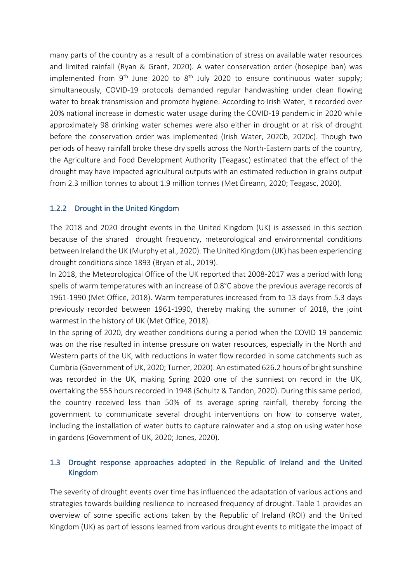many parts of the country as a result of a combination of stress on available water resources and limited rainfall (Ryan & Grant, 2020). A water conservation order (hosepipe ban) was implemented from  $9<sup>th</sup>$  June 2020 to  $8<sup>th</sup>$  July 2020 to ensure continuous water supply; simultaneously, COVID-19 protocols demanded regular handwashing under clean flowing water to break transmission and promote hygiene. According to Irish Water, it recorded over 20% national increase in domestic water usage during the COVID-19 pandemic in 2020 while approximately 98 drinking water schemes were also either in drought or at risk of drought before the conservation order was implemented (Irish Water, 2020b, 2020c). Though two periods of heavy rainfall broke these dry spells across the North-Eastern parts of the country, the Agriculture and Food Development Authority (Teagasc) estimated that the effect of the drought may have impacted agricultural outputs with an estimated reduction in grains output from 2.3 million tonnes to about 1.9 million tonnes (Met Éireann, 2020; Teagasc, 2020).

#### <span id="page-6-0"></span>1.2.2 Drought in the United Kingdom

The 2018 and 2020 drought events in the United Kingdom (UK) is assessed in this section because of the shared drought frequency, meteorological and environmental conditions between Ireland the UK (Murphy et al., 2020). The United Kingdom (UK) has been experiencing drought conditions since 1893 (Bryan et al., 2019).

In 2018, the Meteorological Office of the UK reported that 2008-2017 was a period with long spells of warm temperatures with an increase of 0.8°C above the previous average records of 1961-1990 (Met Office, 2018). Warm temperatures increased from to 13 days from 5.3 days previously recorded between 1961-1990, thereby making the summer of 2018, the joint warmest in the history of UK (Met Office, 2018).

In the spring of 2020, dry weather conditions during a period when the COVID 19 pandemic was on the rise resulted in intense pressure on water resources, especially in the North and Western parts of the UK, with reductions in water flow recorded in some catchments such as Cumbria (Government of UK, 2020; Turner, 2020). An estimated 626.2 hours of bright sunshine was recorded in the UK, making Spring 2020 one of the sunniest on record in the UK, overtaking the 555 hours recorded in 1948 (Schultz & Tandon, 2020). During this same period, the country received less than 50% of its average spring rainfall, thereby forcing the government to communicate several drought interventions on how to conserve water, including the installation of water butts to capture rainwater and a stop on using water hose in gardens (Government of UK, 2020; Jones, 2020).

#### <span id="page-6-1"></span>1.3 Drought response approaches adopted in the Republic of Ireland and the United Kingdom

The severity of drought events over time has influenced the adaptation of various actions and strategies towards building resilience to increased frequency of drought. Table 1 provides an overview of some specific actions taken by the Republic of Ireland (ROI) and the United Kingdom (UK) as part of lessons learned from various drought events to mitigate the impact of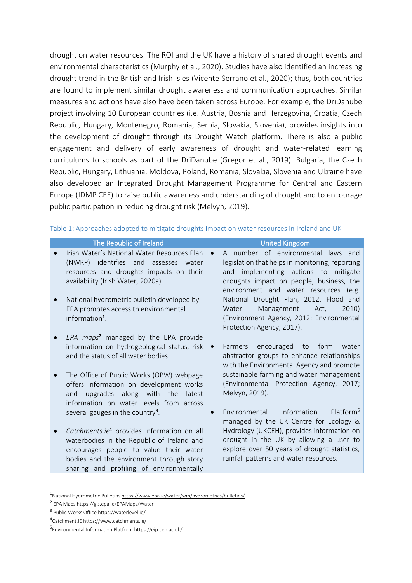drought on water resources. The ROI and the UK have a history of shared drought events and environmental characteristics (Murphy et al., 2020). Studies have also identified an increasing drought trend in the British and Irish Isles (Vicente-Serrano et al., 2020); thus, both countries are found to implement similar drought awareness and communication approaches. Similar measures and actions have also have been taken across Europe. For example, the DriDanube project involving 10 European countries (i.e. Austria, Bosnia and Herzegovina, Croatia, Czech Republic, Hungary, Montenegro, Romania, Serbia, Slovakia, Slovenia), provides insights into the development of drought through its Drought Watch platform. There is also a public engagement and delivery of early awareness of drought and water-related learning curriculums to schools as part of the DriDanube (Gregor et al., 2019). Bulgaria, the Czech Republic, Hungary, Lithuania, Moldova, Poland, Romania, Slovakia, Slovenia and Ukraine have also developed an Integrated Drought Management Programme for Central and Eastern Europe (IDMP CEE) to raise public awareness and understanding of drought and to encourage public participation in reducing drought risk (Melvyn, 2019).

| The Republic of Ireland                                                                                                                                                                                                                | <b>United Kingdom</b>                                                                                                                                                                                              |
|----------------------------------------------------------------------------------------------------------------------------------------------------------------------------------------------------------------------------------------|--------------------------------------------------------------------------------------------------------------------------------------------------------------------------------------------------------------------|
| Irish Water's National Water Resources Plan<br>(NWRP) identifies and assesses<br>water<br>resources and droughts impacts on their<br>availability (Irish Water, 2020a).                                                                | A number of environmental laws and<br>legislation that helps in monitoring, reporting<br>and implementing actions to mitigate<br>droughts impact on people, business, the<br>environment and water resources (e.g. |
| National hydrometric bulletin developed by<br>EPA promotes access to environmental<br>information <sup>1</sup> .                                                                                                                       | National Drought Plan, 2012, Flood and<br>Management<br>2010)<br>Water<br>Act,<br>(Environment Agency, 2012; Environmental<br>Protection Agency, 2017).                                                            |
| EPA maps <sup>2</sup> managed by the EPA provide<br>information on hydrogeological status, risk<br>and the status of all water bodies.                                                                                                 | encouraged to form<br>Farmers<br>water<br>abstractor groups to enhance relationships<br>with the Environmental Agency and promote                                                                                  |
| The Office of Public Works (OPW) webpage<br>offers information on development works<br>upgrades along with the<br>latest<br>and<br>information on water levels from across                                                             | sustainable farming and water management<br>(Environmental Protection Agency, 2017;<br>Melvyn, 2019).                                                                                                              |
| several gauges in the country <sup>3</sup> .                                                                                                                                                                                           | Information<br>Platform <sup>5</sup><br>Environmental<br>managed by the UK Centre for Ecology &                                                                                                                    |
| Catchments.ie <sup>4</sup> provides information on all<br>waterbodies in the Republic of Ireland and<br>encourages people to value their water<br>bodies and the environment through story<br>sharing and profiling of environmentally | Hydrology (UKCEH), provides information on<br>drought in the UK by allowing a user to<br>explore over 50 years of drought statistics,<br>rainfall patterns and water resources.                                    |

#### Table 1: Approaches adopted to mitigate droughts impact on water resources in Ireland and UK

<sup>1</sup>National Hydrometric Bulletin[s https://www.epa.ie/water/wm/hydrometrics/bulletins/](https://www.epa.ie/water/wm/hydrometrics/bulletins/)

<sup>2</sup> EPA Map[s https://gis.epa.ie/EPAMaps/Water](https://gis.epa.ie/EPAMaps/Water)

<sup>3</sup> Public Works Offic[e https://waterlevel.ie/](https://waterlevel.ie/)

<sup>4</sup> Catchment.I[E https://www.catchments.ie/](https://www.catchments.ie/)

<sup>5</sup> Environmental Information Platfor[m https://eip.ceh.ac.uk/](https://eip.ceh.ac.uk/)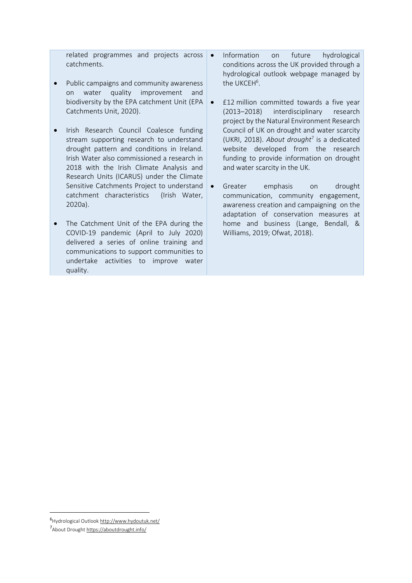related programmes and projects across  $\bullet$ catchments.

- Public campaigns and community awareness on water quality improvement and biodiversity by the EPA catchment Unit (EPA Catchments Unit, 2020).
- Irish Research Council Coalesce funding stream supporting research to understand drought pattern and conditions in Ireland. Irish Water also commissioned a research in 2018 with the Irish Climate Analysis and Research Units (ICARUS) under the Climate Sensitive Catchments Project to understand catchment characteristics (Irish Water, 2020a).
- The Catchment Unit of the EPA during the COVID-19 pandemic (April to July 2020) delivered a series of online training and communications to support communities to undertake activities to improve water quality.
- Information on future hydrological conditions across the UK provided through a hydrological outlook webpage managed by the UKCEH<sup>6</sup>.
- £12 million committed towards a five year (2013–2018) interdisciplinary research project by the Natural Environment Research Council of UK on drought and water scarcity (UKRI, 2018). *About drought*<sup>7</sup> is a dedicated website developed from the research funding to provide information on drought and water scarcity in the UK*.*
	- Greater emphasis on drought communication, community engagement, awareness creation and campaigning on the adaptation of conservation measures at home and business (Lange, Bendall, & Williams, 2019; Ofwat, 2018).

<sup>6</sup>Hydrological Outloo[k http://www.hydoutuk.net/](http://www.hydoutuk.net/)

<sup>7</sup> About Drough[t https://aboutdrought.info/](https://aboutdrought.info/)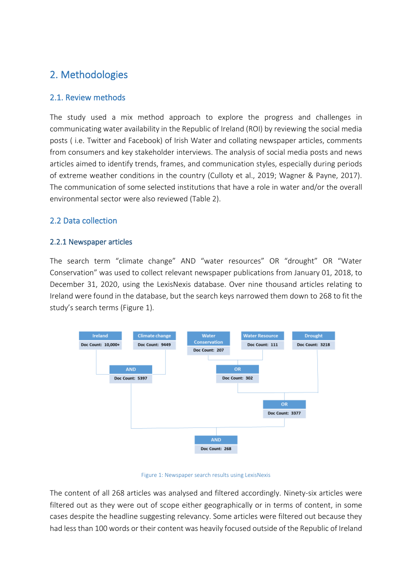# <span id="page-9-0"></span>2. Methodologies

## <span id="page-9-1"></span>2.1. Review methods

The study used a mix method approach to explore the progress and challenges in communicating water availability in the Republic of Ireland (ROI) by reviewing the social media posts ( i.e. Twitter and Facebook) of Irish Water and collating newspaper articles, comments from consumers and key stakeholder interviews. The analysis of social media posts and news articles aimed to identify trends, frames, and communication styles, especially during periods of extreme weather conditions in the country (Culloty et al., 2019; Wagner & Payne, 2017). The communication of some selected institutions that have a role in water and/or the overall environmental sector were also reviewed (Table 2).

## <span id="page-9-2"></span>2.2 Data collection

#### <span id="page-9-3"></span>2.2.1 Newspaper articles

The search term "climate change" AND "water resources" OR "drought" OR "Water Conservation" was used to collect relevant newspaper publications from January 01, 2018, to December 31, 2020, using the LexisNexis database. Over nine thousand articles relating to Ireland were found in the database, but the search keys narrowed them down to 268 to fit the study's search terms (Figure 1).



#### Figure 1: Newspaper search results using LexisNexis

The content of all 268 articles was analysed and filtered accordingly. Ninety-six articles were filtered out as they were out of scope either geographically or in terms of content, in some cases despite the headline suggesting relevancy. Some articles were filtered out because they had less than 100 words or their content was heavily focused outside of the Republic of Ireland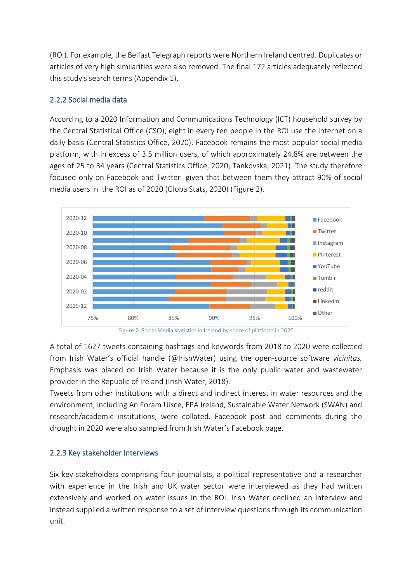(ROI). For example, the Belfast Telegraph reports were Northern Ireland centred. Duplicates or articles of very high similarities were also removed. The final 172 articles adequately reflected this study's search terms (Appendix 1).

## <span id="page-10-0"></span>2.2.2 Social media data

According to a 2020 Information and Communications Technology (ICT) household survey by the Central Statistical Office (CSO), eight in every ten people in the ROI use the internet on a daily basis (Central Statistics Office, 2020). Facebook remains the most popular social media platform, with in excess of 3.5 million users, of which approximately 24.8% are between the ages of 25 to 34 years (Central Statistics Office, 2020; Tankovska, 2021). The study therefore focused only on Facebook and Twitter given that between them they attract 90% of social media users in the ROI as of 2020 (GlobalStats, 2020) (Figure 2).





A total of 1627 tweets containing hashtags and keywords from 2018 to 2020 were collected from Irish Water's official handle (@IrishWater) using the open-source software *vicinitas.*  Emphasis was placed on Irish Water because it is the only public water and wastewater provider in the Republic of Ireland (Irish Water, 2018).

Tweets from other institutions with a direct and indirect interest in water resources and the environment, including An Foram Uisce, EPA Ireland, Sustainable Water Network (SWAN) and research/academic institutions, were collated. Facebook post and comments during the drought in 2020 were also sampled from Irish Water's Facebook page.

#### <span id="page-10-1"></span>2.2.3 Key stakeholder Interviews

Six key stakeholders comprising four journalists, a political representative and a researcher with experience in the Irish and UK water sector were interviewed as they had written extensively and worked on water issues in the ROI. Irish Water declined an interview and instead supplied a written response to a set of interview questions through its communication unit.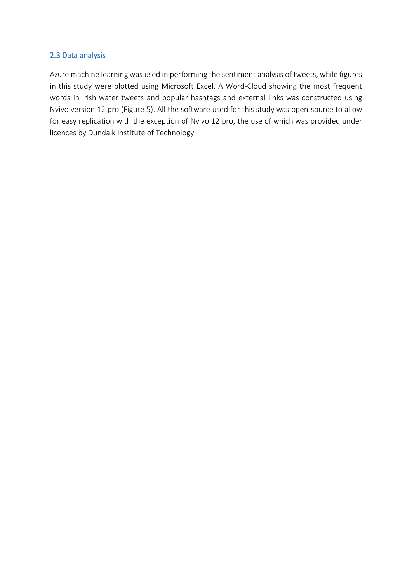#### <span id="page-11-0"></span>2.3 Data analysis

Azure machine learning was used in performing the sentiment analysis of tweets, while figures in this study were plotted using Microsoft Excel. A Word-Cloud showing the most frequent words in Irish water tweets and popular hashtags and external links was constructed using Nvivo version 12 pro (Figure 5). All the software used for this study was open-source to allow for easy replication with the exception of Nvivo 12 pro, the use of which was provided under licences by Dundalk Institute of Technology.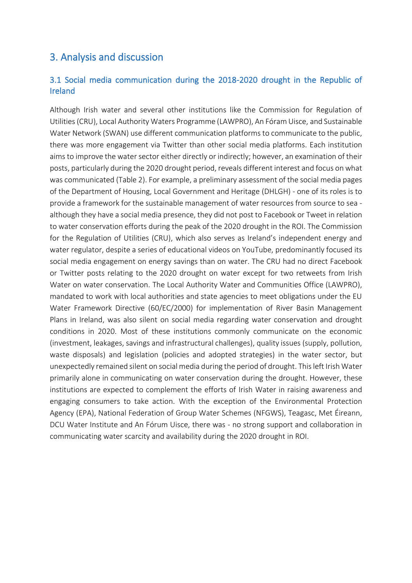## <span id="page-12-0"></span>3. Analysis and discussion

## <span id="page-12-1"></span>3.1 Social media communication during the 2018-2020 drought in the Republic of Ireland

Although Irish water and several other institutions like the Commission for Regulation of Utilities (CRU), Local Authority Waters Programme (LAWPRO), An Fóram Uisce, and Sustainable Water Network (SWAN) use different communication platforms to communicate to the public, there was more engagement via Twitter than other social media platforms. Each institution aimsto improve the water sector either directly or indirectly; however, an examination of their posts, particularly during the 2020 drought period, reveals different interest and focus on what was communicated (Table 2). For example, a preliminary assessment of the social media pages of the Department of Housing, Local Government and Heritage (DHLGH) - one of its roles is to provide a framework for the sustainable management of water resources from source to sea although they have a social media presence, they did not post to Facebook or Tweet in relation to water conservation efforts during the peak of the 2020 drought in the ROI. The Commission for the Regulation of Utilities (CRU), which also serves as Ireland's independent energy and water regulator, despite a series of educational videos on YouTube, predominantly focused its social media engagement on energy savings than on water. The CRU had no direct Facebook or Twitter posts relating to the 2020 drought on water except for two retweets from Irish Water on water conservation. The Local Authority Water and Communities Office (LAWPRO), mandated to work with local authorities and state agencies to meet obligations under the EU Water Framework Directive (60/EC/2000) for implementation of River Basin Management Plans in Ireland, was also silent on social media regarding water conservation and drought conditions in 2020. Most of these institutions commonly communicate on the economic (investment, leakages, savings and infrastructural challenges), quality issues (supply, pollution, waste disposals) and legislation (policies and adopted strategies) in the water sector, but unexpectedly remained silent on social media during the period of drought. This left Irish Water primarily alone in communicating on water conservation during the drought. However, these institutions are expected to complement the efforts of Irish Water in raising awareness and engaging consumers to take action. With the exception of the Environmental Protection Agency (EPA), National Federation of Group Water Schemes (NFGWS), Teagasc, Met Éireann, DCU Water Institute and An Fórum Uisce, there was - no strong support and collaboration in communicating water scarcity and availability during the 2020 drought in ROI.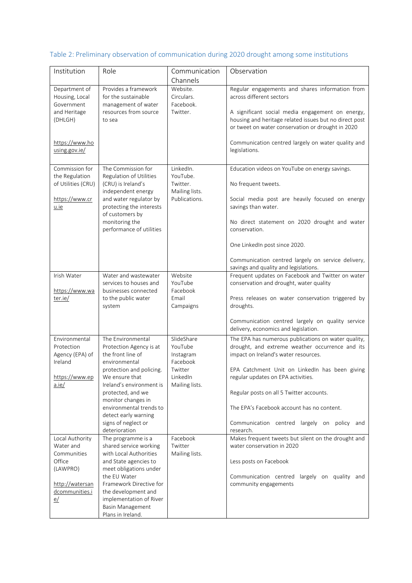# Table 2: Preliminary observation of communication during 2020 drought among some institutions

| Institution                                               | Role                                                                               | Communication<br>Channels                      | Observation                                                                                                                                                     |
|-----------------------------------------------------------|------------------------------------------------------------------------------------|------------------------------------------------|-----------------------------------------------------------------------------------------------------------------------------------------------------------------|
| Department of<br>Housing, Local<br>Government             | Provides a framework<br>for the sustainable<br>management of water                 | Website.<br>Circulars.<br>Facebook.            | Regular engagements and shares information from<br>across different sectors                                                                                     |
| and Heritage<br>(DHLGH)                                   | resources from source<br>to sea                                                    | Twitter.                                       | A significant social media engagement on energy,<br>housing and heritage related issues but no direct post<br>or tweet on water conservation or drought in 2020 |
| https://www.ho<br>using.gov.ie/                           |                                                                                    |                                                | Communication centred largely on water quality and<br>legislations.                                                                                             |
| Commission for                                            | The Commission for                                                                 | LinkedIn.                                      | Education videos on YouTube on energy savings.                                                                                                                  |
| the Regulation<br>of Utilities (CRU)                      | Regulation of Utilities<br>(CRU) is Ireland's<br>independent energy                | YouTube.<br>Twitter.<br>Mailing lists.         | No frequent tweets.                                                                                                                                             |
| https://www.cr<br>u.ie                                    | and water regulator by<br>protecting the interests<br>of customers by              | Publications.                                  | Social media post are heavily focused on energy<br>savings than water.                                                                                          |
|                                                           | monitoring the<br>performance of utilities                                         |                                                | No direct statement on 2020 drought and water<br>conservation.                                                                                                  |
|                                                           |                                                                                    |                                                | One LinkedIn post since 2020.                                                                                                                                   |
|                                                           |                                                                                    |                                                | Communication centred largely on service delivery,<br>savings and quality and legislations.                                                                     |
| Irish Water                                               | Water and wastewater                                                               | Website                                        | Frequent updates on Facebook and Twitter on water                                                                                                               |
| https://www.wa                                            | services to houses and<br>businesses connected                                     | YouTube<br>Facebook                            | conservation and drought, water quality                                                                                                                         |
| ter.ie/                                                   | to the public water<br>system                                                      | Email<br>Campaigns                             | Press releases on water conservation triggered by<br>droughts.                                                                                                  |
|                                                           |                                                                                    |                                                | Communication centred largely on quality service<br>delivery, economics and legislation.                                                                        |
| Environmental<br>Protection<br>Agency (EPA) of<br>Ireland | The Environmental<br>Protection Agency is at<br>the front line of<br>environmental | SlideShare<br>YouTube<br>Instagram<br>Facebook | The EPA has numerous publications on water quality,<br>drought, and extreme weather occurrence and its<br>impact on Ireland's water resources.                  |
| https://www.ep<br>a.ie/                                   | protection and policing.<br>We ensure that<br>Ireland's environment is             | Twitter<br>LinkedIn<br>Mailing lists.          | EPA Catchment Unit on LinkedIn has been giving<br>regular updates on EPA activities.                                                                            |
|                                                           | protected, and we<br>monitor changes in                                            |                                                | Regular posts on all 5 Twitter accounts.                                                                                                                        |
|                                                           | environmental trends to<br>detect early warning                                    |                                                | The EPA's Facebook account has no content.                                                                                                                      |
|                                                           | signs of neglect or<br>deterioration                                               |                                                | Communication centred largely on policy<br>and<br>research.                                                                                                     |
| Local Authority<br>Water and                              | The programme is a<br>shared service working                                       | Facebook<br>Twitter                            | Makes frequent tweets but silent on the drought and<br>water conservation in 2020                                                                               |
| Communities                                               | with Local Authorities                                                             | Mailing lists.                                 |                                                                                                                                                                 |
| Office<br>(LAWPRO)                                        | and State agencies to<br>meet obligations under                                    |                                                | Less posts on Facebook                                                                                                                                          |
|                                                           | the EU Water                                                                       |                                                | Communication centred largely on quality and                                                                                                                    |
| http://watersan<br>dcommunities.i                         | Framework Directive for<br>the development and                                     |                                                | community engagements                                                                                                                                           |
| e/                                                        | implementation of River                                                            |                                                |                                                                                                                                                                 |
|                                                           | Basin Management<br>Plans in Ireland.                                              |                                                |                                                                                                                                                                 |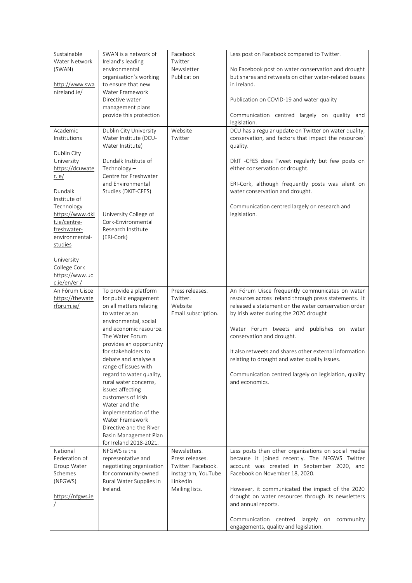| Sustainable<br>Water Network<br>(SWAN)<br>http://www.swa<br>nireland.ie/                                                                                                                                                                                                     | SWAN is a network of<br>Ireland's leading<br>environmental<br>organisation's working<br>to ensure that new<br>Water Framework<br>Directive water<br>management plans<br>provide this protection                                                                                                                                                                                                                                                                                                               | Facebook<br>Twitter<br>Newsletter<br>Publication                                                          | Less post on Facebook compared to Twitter.<br>No Facebook post on water conservation and drought<br>but shares and retweets on other water-related issues<br>in Ireland.<br>Publication on COVID-19 and water quality<br>Communication centred largely on quality and<br>legislation.                                                                                                                                                                                      |
|------------------------------------------------------------------------------------------------------------------------------------------------------------------------------------------------------------------------------------------------------------------------------|---------------------------------------------------------------------------------------------------------------------------------------------------------------------------------------------------------------------------------------------------------------------------------------------------------------------------------------------------------------------------------------------------------------------------------------------------------------------------------------------------------------|-----------------------------------------------------------------------------------------------------------|----------------------------------------------------------------------------------------------------------------------------------------------------------------------------------------------------------------------------------------------------------------------------------------------------------------------------------------------------------------------------------------------------------------------------------------------------------------------------|
| Academic<br>Institutions<br>Dublin City<br>University<br>https://dcuwate<br>$r$ .ie/<br>Dundalk<br>Institute of<br>Technology<br>https://www.dki<br>t.ie/centre-<br>freshwater-<br>environmental-<br>studies<br>University<br>College Cork<br>https://www.uc<br>c.ie/en/eri/ | Dublin City University<br>Water Institute (DCU-<br>Water Institute)<br>Dundalk Institute of<br>$Technology -$<br>Centre for Freshwater<br>and Environmental<br>Studies (DKiT-CFES)<br>University College of<br>Cork-Environmental<br>Research Institute<br>(ERI-Cork)                                                                                                                                                                                                                                         | Website<br>Twitter                                                                                        | DCU has a regular update on Twitter on water quality,<br>conservation, and factors that impact the resources'<br>quality.<br>DkIT -CFES does Tweet regularly but few posts on<br>either conservation or drought.<br>ERI-Cork, although frequently posts was silent on<br>water conservation and drought.<br>Communication centred largely on research and<br>legislation.                                                                                                  |
| An Fórum Uisce<br>https://thewate<br>rforum.ie/                                                                                                                                                                                                                              | To provide a platform<br>for public engagement<br>on all matters relating<br>to water as an<br>environmental, social<br>and economic resource.<br>The Water Forum<br>provides an opportunity<br>for stakeholders to<br>debate and analyse a<br>range of issues with<br>regard to water quality,<br>rural water concerns,<br>issues affecting<br>customers of Irish<br>Water and the<br>implementation of the<br>Water Framework<br>Directive and the River<br>Basin Management Plan<br>for Ireland 2018-2021. | Press releases.<br>Twitter.<br>Website<br>Email subscription.                                             | An Fórum Uisce frequently communicates on water<br>resources across Ireland through press statements. It<br>released a statement on the water conservation order<br>by Irish water during the 2020 drought<br>Water Forum tweets and publishes on water<br>conservation and drought.<br>It also retweets and shares other external information<br>relating to drought and water quality issues.<br>Communication centred largely on legislation, quality<br>and economics. |
| National<br>Federation of<br>Group Water<br>Schemes<br>(NFGWS)<br>https://nfgws.ie                                                                                                                                                                                           | NFGWS is the<br>representative and<br>negotiating organization<br>for community-owned<br>Rural Water Supplies in<br>Ireland.                                                                                                                                                                                                                                                                                                                                                                                  | Newsletters.<br>Press releases.<br>Twitter. Facebook.<br>Instagram, YouTube<br>LinkedIn<br>Mailing lists. | Less posts than other organisations on social media<br>because it joined recently. The NFGWS Twitter<br>account was created in September 2020, and<br>Facebook on November 18, 2020.<br>However, it communicated the impact of the 2020<br>drought on water resources through its newsletters<br>and annual reports.<br>Communication centred largely on community<br>engagements, quality and legislation.                                                                |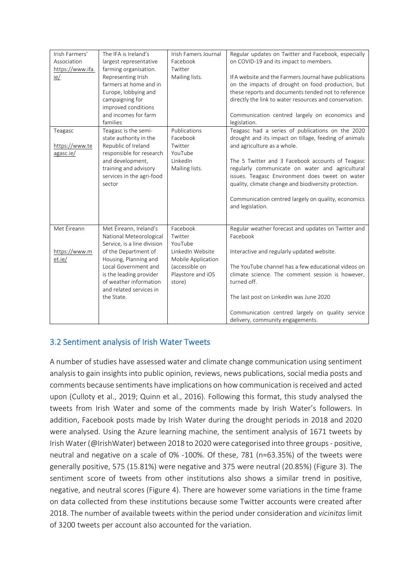| Irish Farmers'<br>Association<br>https://www.ifa.<br>ie/ | The IFA is Ireland's<br>largest representative<br>farming organisation.<br>Representing Irish<br>farmers at home and in<br>Europe, lobbying and<br>campaigning for<br>improved conditions<br>and incomes for farm<br>families                           | Irish Famers Journal<br>Facebook<br>Twitter<br>Mailing lists.                                                             | Regular updates on Twitter and Facebook, especially<br>on COVID-19 and its impact to members.<br>IFA website and the Farmers Journal have publications<br>on the impacts of drought on food production, but<br>these reports and documents tended not to reference<br>directly the link to water resources and conservation.<br>Communication centred largely on economics and<br>legislation.                                        |
|----------------------------------------------------------|---------------------------------------------------------------------------------------------------------------------------------------------------------------------------------------------------------------------------------------------------------|---------------------------------------------------------------------------------------------------------------------------|---------------------------------------------------------------------------------------------------------------------------------------------------------------------------------------------------------------------------------------------------------------------------------------------------------------------------------------------------------------------------------------------------------------------------------------|
| Teagasc<br>https://www.te<br>agasc.ie/                   | Teagasc is the semi-<br>state authority in the<br>Republic of Ireland<br>responsible for research<br>and development,<br>training and advisory<br>services in the agri-food<br>sector                                                                   | Publications<br>Facebook<br>Twitter<br>YouTube<br>LinkedIn<br>Mailing lists.                                              | Teagasc had a series of publications on the 2020<br>drought and its impact on tillage, feeding of animals<br>and agriculture as a whole.<br>The 5 Twitter and 3 Facebook accounts of Teagasc<br>regularly communicate on water and agricultural<br>issues. Teagasc Environment does tweet on water<br>quality, climate change and biodiversity protection.<br>Communication centred largely on quality, economics<br>and legislation. |
| Met Éireann<br>https://www.m<br>et.ie/                   | Met Éireann, Ireland's<br>National Meteorological<br>Service, is a line division<br>of the Department of<br>Housing, Planning and<br>Local Government and<br>is the leading provider<br>of weather information<br>and related services in<br>the State. | Facebook<br>Twitter<br>YouTube<br>LinkedIn Website<br>Mobile Application<br>(accessible on<br>Playstore and iOS<br>store) | Regular weather forecast and updates on Twitter and<br>Facebook<br>Interactive and regularly updated website.<br>The YouTube channel has a few educational videos on<br>climate science. The comment session is however,<br>turned off.<br>The last post on LinkedIn was June 2020<br>Communication centred largely on quality service<br>delivery, community engagements.                                                            |

## <span id="page-15-0"></span>3.2 Sentiment analysis of Irish Water Tweets

A number of studies have assessed water and climate change communication using sentiment analysis to gain insights into public opinion, reviews, news publications, social media posts and comments because sentiments have implications on how communication is received and acted upon (Culloty et al., 2019; Quinn et al., 2016). Following this format, this study analysed the tweets from Irish Water and some of the comments made by Irish Water's followers. In addition, Facebook posts made by Irish Water during the drought periods in 2018 and 2020 were analysed. Using the Azure learning machine, the sentiment analysis of 1671 tweets by Irish Water (@IrishWater) between 2018 to 2020 were categorised into three groups - positive, neutral and negative on a scale of 0% -100%. Of these, 781 (n=63.35%) of the tweets were generally positive, 575 (15.81%) were negative and 375 were neutral (20.85%) (Figure 3). The sentiment score of tweets from other institutions also shows a similar trend in positive, negative, and neutral scores (Figure 4). There are however some variations in the time frame on data collected from these institutions because some Twitter accounts were created after 2018. The number of available tweets within the period under consideration and *vicinitas* limit of 3200 tweets per account also accounted for the variation.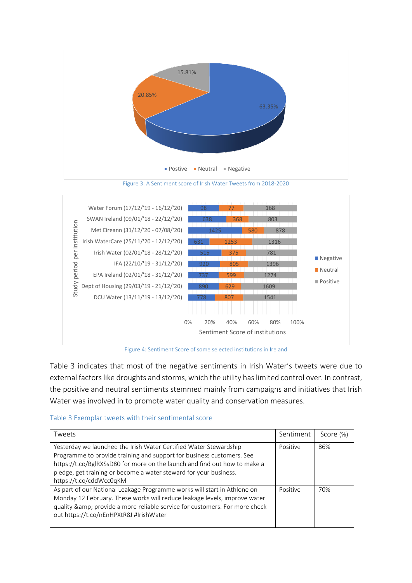

Figure 3: A Sentiment score of Irish Water Tweets from 2018-2020



Figure 4: Sentiment Score of some selected institutions in Ireland

Table 3 indicates that most of the negative sentiments in Irish Water's tweets were due to external factors like droughts and storms, which the utility has limited control over. In contrast, the positive and neutral sentiments stemmed mainly from campaigns and initiatives that Irish Water was involved in to promote water quality and conservation measures.

#### Table 3 Exemplar tweets with their sentimental score

| Tweets                                                                                                                                                                                                                                                                                                                  | Sentiment | Score (%) |
|-------------------------------------------------------------------------------------------------------------------------------------------------------------------------------------------------------------------------------------------------------------------------------------------------------------------------|-----------|-----------|
| Yesterday we launched the Irish Water Certified Water Stewardship<br>Programme to provide training and support for business customers. See<br>https://t.co/BglRXSsD80 for more on the launch and find out how to make a<br>pledge, get training or become a water steward for your business.<br>https://t.co/cddWcc0qKM | Positive  | 86%       |
| As part of our National Leakage Programme works will start in Athlone on<br>Monday 12 February. These works will reduce leakage levels, improve water<br>quality & provide a more reliable service for customers. For more check<br>out https://t.co/nEnHPXtR8J #IrishWater                                             | Positive  | 70%       |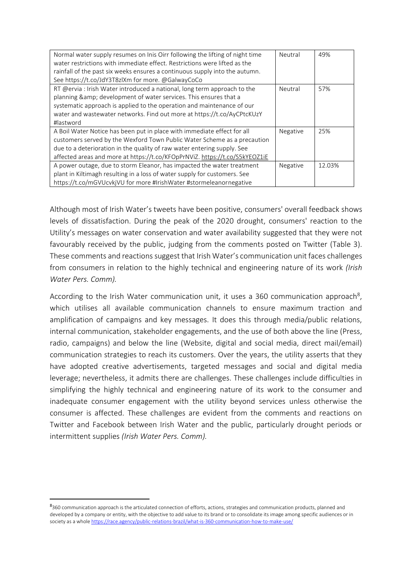| Normal water supply resumes on Inis Oirr following the lifting of night time | Neutral  | 49%    |
|------------------------------------------------------------------------------|----------|--------|
| water restrictions with immediate effect. Restrictions were lifted as the    |          |        |
| rainfall of the past six weeks ensures a continuous supply into the autumn.  |          |        |
| See https://t.co/JdY3T8zlXm for more. @GalwayCoCo                            |          |        |
| RT @ervia: Irish Water introduced a national, long term approach to the      | Neutral  | 57%    |
| planning & development of water services. This ensures that a                |          |        |
| systematic approach is applied to the operation and maintenance of our       |          |        |
| water and wastewater networks. Find out more at https://t.co/AyCPtcKUzY      |          |        |
| #lastword                                                                    |          |        |
| A Boil Water Notice has been put in place with immediate effect for all      | Negative | 25%    |
| customers served by the Wexford Town Public Water Scheme as a precaution     |          |        |
| due to a deterioration in the quality of raw water entering supply. See      |          |        |
| affected areas and more at https://t.co/KFOpPrNViZ. https://t.co/S5kYEOZ1iE  |          |        |
| A power outage, due to storm Eleanor, has impacted the water treatment       | Negative | 12.03% |
| plant in Kiltimagh resulting in a loss of water supply for customers. See    |          |        |
| https://t.co/mGVUcvkjVU for more #IrishWater #stormeleanornegative           |          |        |

Although most of Irish Water's tweets have been positive, consumers' overall feedback shows levels of dissatisfaction. During the peak of the 2020 drought, consumers' reaction to the Utility's messages on water conservation and water availability suggested that they were not favourably received by the public, judging from the comments posted on Twitter (Table 3). These comments and reactions suggest that Irish Water's communication unit faces challenges from consumers in relation to the highly technical and engineering nature of its work *(Irish Water Pers. Comm).*

According to the Irish Water communication unit, it uses a 360 communication approach<sup>8</sup>, which utilises all available communication channels to ensure maximum traction and amplification of campaigns and key messages. It does this through media/public relations, internal communication, stakeholder engagements, and the use of both above the line (Press, radio, campaigns) and below the line (Website, digital and social media, direct mail/email) communication strategies to reach its customers. Over the years, the utility asserts that they have adopted creative advertisements, targeted messages and social and digital media leverage; nevertheless, it admits there are challenges. These challenges include difficulties in simplifying the highly technical and engineering nature of its work to the consumer and inadequate consumer engagement with the utility beyond services unless otherwise the consumer is affected. These challenges are evident from the comments and reactions on Twitter and Facebook between Irish Water and the public, particularly drought periods or intermittent supplies *(Irish Water Pers. Comm).*

<sup>8&</sup>lt;sub>360</sub> communication approach is the articulated connection of efforts, actions, strategies and communication products, planned and developed by a company or entity, with the objective to add value to its brand or to consolidate its image among specific audiences or in society as a whol[e https://race.agency/public-relations-brazil/what-is-360-communication-how-to-make-use/](https://race.agency/public-relations-brazil/what-is-360-communication-how-to-make-use/)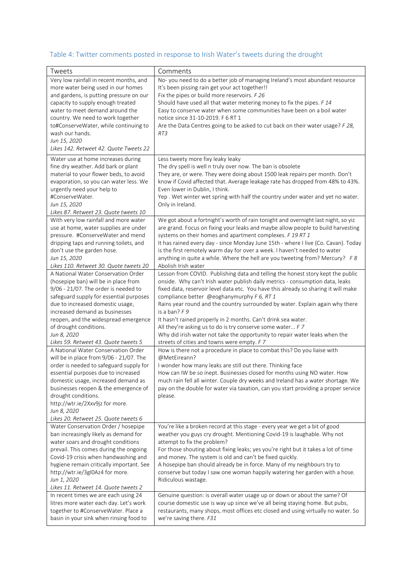# Table 4: Twitter comments posted in response to Irish Water's tweets during the drought

| Tweets                                                                                                                                                                                                                                                                                                                                                           | Comments                                                                                                                                                                                                                                                                                                                                                                                                                                                                                                                                                                                                                                                              |
|------------------------------------------------------------------------------------------------------------------------------------------------------------------------------------------------------------------------------------------------------------------------------------------------------------------------------------------------------------------|-----------------------------------------------------------------------------------------------------------------------------------------------------------------------------------------------------------------------------------------------------------------------------------------------------------------------------------------------------------------------------------------------------------------------------------------------------------------------------------------------------------------------------------------------------------------------------------------------------------------------------------------------------------------------|
| Very low rainfall in recent months, and<br>more water being used in our homes<br>and gardens, is putting pressure on our<br>capacity to supply enough treated<br>water to meet demand around the<br>country. We need to work together<br>to#ConserveWater, while continuing to<br>wash our hands.<br>Jun 15, 2020<br>Likes 142. Retweet 42. Quote Tweets 22      | No-you need to do a better job of managing Ireland's most abundant resource<br>It's been pissing rain get your act together!!<br>Fix the pipes or build more reservoirs. F 26<br>Should have used all that water metering money to fix the pipes. F 14<br>Easy to conserve water when some communities have been on a boil water<br>notice since 31-10-2019. F 6 RT 1<br>Are the Data Centres going to be asked to cut back on their water usage? F 28,<br>RT3                                                                                                                                                                                                        |
| Water use at home increases during<br>fine dry weather. Add bark or plant<br>material to your flower beds, to avoid<br>evaporation, so you can water less. We<br>urgently need your help to<br>#ConserveWater.<br>Jun 15, 2020<br>Likes 87. Retweet 23. Quote tweets 10                                                                                          | Less tweety more fixy leaky leaky<br>The dry spell is well n truly over now. The ban is obsolete<br>They are, or were. They were doing about 1500 leak repairs per month. Don't<br>know if Covid affected that. Average leakage rate has dropped from 48% to 43%.<br>Even lower in Dublin, I think.<br>Yep. Wet winter wet spring with half the country under water and yet no water.<br>Only in Ireland.                                                                                                                                                                                                                                                             |
| With very low rainfall and more water<br>use at home, water supplies are under<br>pressure. #ConserveWater and mend<br>dripping taps and running toilets, and<br>don't use the garden hose.<br>Jun 15, 2020<br>Likes 110. Retweet 30. Quote tweets 20                                                                                                            | We got about a fortnight's worth of rain tonight and overnight last night, so yiz<br>are grand. Focus on fixing your leaks and maybe allow people to build harvesting<br>systems on their homes and apartment complexes. F 19 RT 1<br>It has rained every day - since Monday June 15th - where I live (Co. Cavan). Today<br>is the first remotely warm day for over a week. I haven't needed to water<br>anything in quite a while. Where the hell are you tweeting from? Mercury? $F8$<br>Abolish Irish water                                                                                                                                                        |
| A National Water Conservation Order<br>(hosepipe ban) will be in place from<br>9/06 - 21/07. The order is needed to<br>safeguard supply for essential purposes<br>due to increased domestic usage,<br>increased demand as businesses<br>reopen, and the widespread emergence<br>of drought conditions.<br>Jun 8, 2020<br>Likes 59. Retweet 43. Quote tweets 5    | Lesson from COVID. Publishing data and telling the honest story kept the public<br>onside. Why can't Irish water publish daily metrics - consumption data, leaks<br>fixed data, reservoir level data etc. You have this already so sharing it will make<br>compliance better @eoghanymurphy F 6, RT 1<br>Rains year round and the country surrounded by water. Explain again why there<br>is a ban? $F9$<br>It hasn't rained properly in 2 months. Can't drink sea water.<br>All they're asking us to do is try conserve some water F 7<br>Why did irish water not take the opportunity to repair water leaks when the<br>streets of cities and towns were empty. F 7 |
| A National Water Conservation Order<br>will be in place from 9/06 - 21/07. The<br>order is needed to safeguard supply for<br>essential purposes due to increased<br>domestic usage, increased demand as<br>businesses reopen & the emergence of<br>drought conditions.<br>http://wtr.ie/2Xxv9jz for more.<br>Jun 8, 2020<br>Likes 20. Retweet 25. Quote tweets 6 | How is there not a procedure in place to combat this? Do you liaise with<br>@MetEireann?<br>I wonder how many leaks are still out there. Thinking face<br>How can IW be so inept. Businesses closed for months using NO water. How<br>much rain fell all winter. Couple dry weeks and Ireland has a water shortage. We<br>pay on the double for water via taxation, can you start providing a proper service<br>please.                                                                                                                                                                                                                                               |
| Water Conservation Order / hosepipe<br>ban increasingly likely as demand for<br>water soars and drought conditions<br>prevail. This comes during the ongoing<br>Covid-19 crisis when handwashing and<br>hygiene remain critically important. See<br>http://wtr.ie/3gI0Az4 for more.<br>Jun 1, 2020<br>Likes 11. Retweet 14. Quote tweets 2                       | You're like a broken record at this stage - every year we get a bit of good<br>weather you guys cry drought. Mentioning Covid-19 is laughable. Why not<br>attempt to fix the problem?<br>For those shouting about fixing leaks; yes you're right but it takes a lot of time<br>and money. The system is old and can't be fixed quickly.<br>A hosepipe ban should already be in force. Many of my neighbours try to<br>conserve but today I saw one woman happily watering her garden with a hose.<br>Ridiculous wastage.                                                                                                                                              |
| In recent times we are each using 24<br>litres more water each day. Let's work<br>together to #ConserveWater. Place a<br>basin in your sink when rinsing food to                                                                                                                                                                                                 | Genuine question: is overall water usage up or down or about the same? Of<br>course domestic use is way up since we've all being staying home. But pubs,<br>restaurants, many shops, most offices etc closed and using virtually no water. So<br>we're saving there. F31                                                                                                                                                                                                                                                                                                                                                                                              |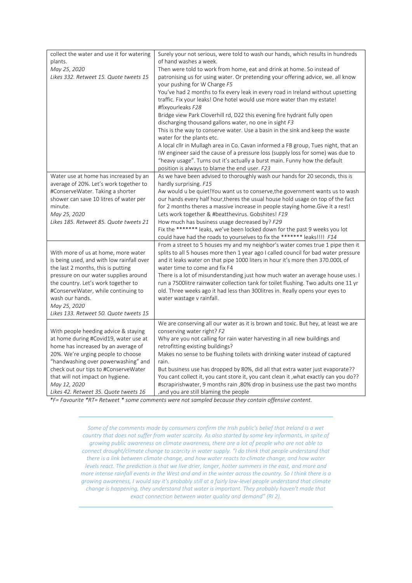| collect the water and use it for watering<br>plants.<br>May 25, 2020<br>Likes 332. Retweet 15. Quote tweets 15                                         | Surely your not serious, were told to wash our hands, which results in hundreds<br>of hand washes a week.<br>Then were told to work from home, eat and drink at home. So instead of<br>patronising us for using water. Or pretending your offering advice, we. all know<br>your pushing for W Charge F5 |
|--------------------------------------------------------------------------------------------------------------------------------------------------------|---------------------------------------------------------------------------------------------------------------------------------------------------------------------------------------------------------------------------------------------------------------------------------------------------------|
|                                                                                                                                                        | You've had 2 months to fix every leak in every road in Ireland without upsetting<br>traffic. Fix your leaks! One hotel would use more water than my estate!<br>#fixyourleaks F28<br>Bridge view Park Cloverhill rd, D22 this evening fire hydrant fully open                                            |
|                                                                                                                                                        | discharging thousand gallons water, no one in sight F3<br>This is the way to conserve water. Use a basin in the sink and keep the waste<br>water for the plants etc.                                                                                                                                    |
|                                                                                                                                                        | A local cllr in Mullagh area in Co. Cavan informed a FB group, Tues night, that an<br>IW engineer said the cause of a pressure loss (supply loss for some) was due to<br>"heavy usage". Turns out it's actually a burst main. Funny how the default<br>position is always to blame the end user. F23    |
| Water use at home has increased by an<br>average of 20%. Let's work together to<br>#ConserveWater. Taking a shorter                                    | As we have been advised to thoroughly wash our hands for 20 seconds, this is<br>hardly surprising. F15<br>Aw would u be quiet!You want us to conserve, the government wants us to wash                                                                                                                  |
| shower can save 10 litres of water per<br>minute.<br>May 25, 2020                                                                                      | our hands every half hour, theres the usual house hold usage on top of the fact<br>for 2 months theres a massive increase in people staying home. Give it a rest!<br>Lets work together & #beatthevirus. Gobshites! F19                                                                                 |
| Likes 185. Retweet 85. Quote tweets 21                                                                                                                 | How much has business usage decreased by? F29<br>Fix the ******* leaks, we've been locked down for the past 9 weeks you lot<br>could have had the roads to yourselves to fix the ******* leaks !!!! F14                                                                                                 |
| With more of us at home, more water<br>is being used, and with low rainfall over<br>the last 2 months, this is putting                                 | From a street to 5 houses my and my neighbor's water comes true 1 pipe then it<br>splits to all 5 houses more then 1 year ago I called council for bad water pressure<br>and it leaks water on that pipe 1000 liters in hour it's more then 370.000L of<br>water time to come and fix F4                |
| pressure on our water supplies around<br>the country. Let's work together to<br>#ConserveWater, while continuing to<br>wash our hands.<br>May 25, 2020 | There is a lot of misunderstanding just how much water an average house uses. I<br>run a 7500 litre rainwater collection tank for toilet flushing. Two adults one 11 yr<br>old. Three weeks ago it had less than 300 litres in. Really opens your eyes to<br>water wastage v rainfall.                  |
| Likes 133. Retweet 50. Quote tweets 15                                                                                                                 |                                                                                                                                                                                                                                                                                                         |
| With people heeding advice & staying<br>at home during #Covid19, water use at<br>home has increased by an average of                                   | We are conserving all our water as it is brown and toxic. But hey, at least we are<br>conserving water right? F2<br>Why are you not calling for rain water harvesting in all new buildings and<br>retrofitting existing buildings?                                                                      |
| 20%. We're urging people to choose<br>"handwashing over powerwashing" and<br>check out our tips to #ConserveWater                                      | Makes no sense to be flushing toilets with drinking water instead of captured<br>rain.<br>But business use has dropped by 80%, did all that extra water just evaporate??                                                                                                                                |
| that will not impact on hygiene.<br>May 12, 2020<br>Likes 42. Retweet 35. Quote tweets 16                                                              | You cant collect it, you cant store it, you cant clean it , what exactly can you do??<br>#scrapirishwater, 9 months rain, 80% drop in business use the past two months<br>and you are still blaming the people,                                                                                         |

*\*F= Favourite \*RT= Retweet \* some comments were not sampled because they contain offensive content.*

*Some of the comments made by consumers confirm the Irish public's belief that Ireland is a wet country that does not suffer from water scarcity. As also started by some key informants, in spite of growing public awareness on climate awareness, there are a lot of people who are not able to connect drought/climate change to scarcity in water supply. "I do think that people understand that there is a link between climate change, and how water reacts to climate change, and how water levels react. The prediction is that we live drier, longer, hotter summers in the east, and more and more intense rainfall events in the West and and in the winter across the country. So I think there is a growing awareness, I would say it's probably still at a fairly low-level people understand that climate change is happening, they understand that water is important. They probably haven't made that exact connection between water quality and demand" (RI 2).*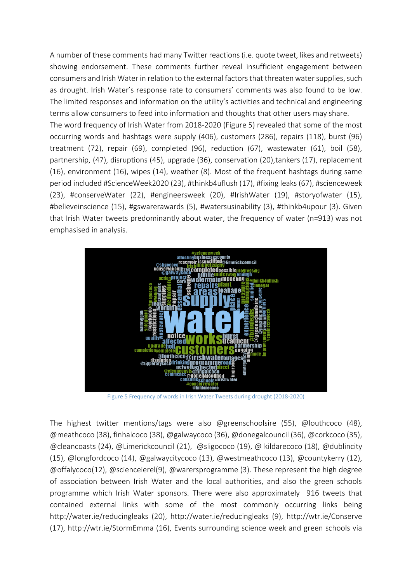A number of these comments had many Twitter reactions (i.e. quote tweet, likes and retweets) showing endorsement. These comments further reveal insufficient engagement between consumers and Irish Water in relation to the external factors that threaten water supplies, such as drought. Irish Water's response rate to consumers' comments was also found to be low. The limited responses and information on the utility's activities and technical and engineering terms allow consumers to feed into information and thoughts that other users may share. The word frequency of Irish Water from 2018-2020 (Figure 5) revealed that some of the most occurring words and hashtags were supply (406), customers (286), repairs (118), burst (96) treatment (72), repair (69), completed (96), reduction (67), wastewater (61), boil (58), partnership, (47), disruptions (45), upgrade (36), conservation (20),tankers (17), replacement (16), environment (16), wipes (14), weather (8). Most of the frequent hashtags during same period included #ScienceWeek2020 (23), #thinkb4uflush (17), #fixing leaks (67), #scienceweek (23), #conserveWater (22), #engineersweek (20), #IrishWater (19), #storyofwater (15), #believeinscience (15), #gswarerawards (5), #watersusinability (3), #thinkb4upour (3). Given that Irish Water tweets predominantly about water, the frequency of water (n=913) was not emphasised in analysis.



Figure 5 Frequency of words in Irish Water Tweets during drought (2018-2020)

The highest twitter mentions/tags were also @greenschoolsire (55), @louthcoco (48), @meathcoco (38), finhalcoco (38), @galwaycoco (36), @donegalcouncil (36), @corkcoco (35), @cleancoasts (24), @Limerickcouncil (21), @sligococo (19), @ kildarecoco (18), @dublincity (15), @longfordcoco (14), @galwaycitycoco (13), @westmeathcoco (13), @countykerry (12), @offalycoco(12), @scienceierel(9), @warersprogramme (3). These represent the high degree of association between Irish Water and the local authorities, and also the green schools programme which Irish Water sponsors. There were also approximately 916 tweets that contained external links with some of the most commonly occurring links being <http://water.ie/reducingleaks> (20), <http://water.ie/reducingleaks> (9),<http://wtr.ie/Conserve> (17),<http://wtr.ie/StormEmma> (16), Events surrounding science week and green schools via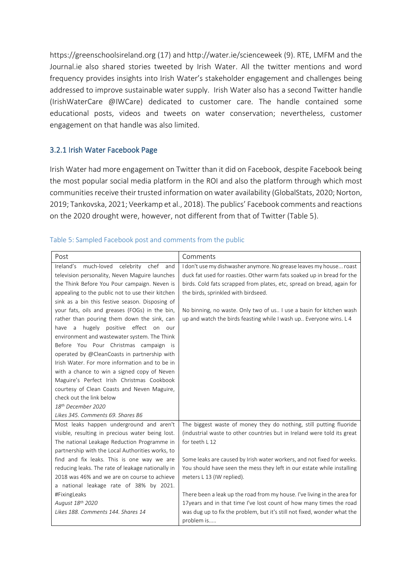[https://greenschoolsireland.org](https://greenschoolsireland.org/) (17) and<http://water.ie/scienceweek> (9). RTE, LMFM and the Journal.ie also shared stories tweeted by Irish Water. All the twitter mentions and word frequency provides insights into Irish Water's stakeholder engagement and challenges being addressed to improve sustainable water supply. Irish Water also has a second Twitter handle (IrishWaterCare @IWCare) dedicated to customer care. The handle contained some educational posts, videos and tweets on water conservation; nevertheless, customer engagement on that handle was also limited.

#### <span id="page-21-0"></span>3.2.1 Irish Water Facebook Page

Irish Water had more engagement on Twitter than it did on Facebook, despite Facebook being the most popular social media platform in the ROI and also the platform through which most communities receive their trusted information on water availability (GlobalStats, 2020; Norton, 2019; Tankovska, 2021; Veerkamp et al., 2018). The publics' Facebook comments and reactions on the 2020 drought were, however, not different from that of Twitter (Table 5).

#### Table 5: Sampled Facebook post and comments from the public

| Post                                                | Comments                                                                 |
|-----------------------------------------------------|--------------------------------------------------------------------------|
| Ireland's<br>much-loved<br>celebrity<br>chef<br>and | I don't use my dishwasher anymore. No grease leaves my house roast       |
| television personality, Neven Maguire launches      | duck fat used for roasties. Other warm fats soaked up in bread for the   |
| the Think Before You Pour campaign. Neven is        | birds. Cold fats scrapped from plates, etc, spread on bread, again for   |
| appealing to the public not to use their kitchen    | the birds, sprinkled with birdseed.                                      |
| sink as a bin this festive season. Disposing of     |                                                                          |
| your fats, oils and greases (FOGs) in the bin,      | No binning, no waste. Only two of us I use a basin for kitchen wash      |
| rather than pouring them down the sink, can         | up and watch the birds feasting while I wash up Everyone wins. L 4       |
| have a hugely positive effect on our                |                                                                          |
| environment and wastewater system. The Think        |                                                                          |
| Before You Pour Christmas campaign is               |                                                                          |
| operated by @CleanCoasts in partnership with        |                                                                          |
| Irish Water. For more information and to be in      |                                                                          |
| with a chance to win a signed copy of Neven         |                                                                          |
| Maguire's Perfect Irish Christmas Cookbook          |                                                                          |
| courtesy of Clean Coasts and Neven Maguire,         |                                                                          |
| check out the link below                            |                                                                          |
| 18th December 2020                                  |                                                                          |
| Likes 345. Comments 69. Shares 86                   |                                                                          |
| Most leaks happen underground and aren't            | The biggest waste of money they do nothing, still putting fluoride       |
| visible, resulting in precious water being lost.    | (industrial waste to other countries but in Ireland were told its great  |
| The national Leakage Reduction Programme in         | for teeth L 12                                                           |
| partnership with the Local Authorities works, to    |                                                                          |
| find and fix leaks. This is one way we are          | Some leaks are caused by Irish water workers, and not fixed for weeks.   |
| reducing leaks. The rate of leakage nationally in   | You should have seen the mess they left in our estate while installing   |
| 2018 was 46% and we are on course to achieve        | meters L 13 (IW replied).                                                |
| a national leakage rate of 38% by 2021.             |                                                                          |
| #FixingLeaks                                        | There been a leak up the road from my house. I've living in the area for |
| August 18th 2020                                    | 17years and in that time I've lost count of how many times the road      |
| Likes 188. Comments 144. Shares 14                  | was dug up to fix the problem, but it's still not fixed, wonder what the |
|                                                     | problem is                                                               |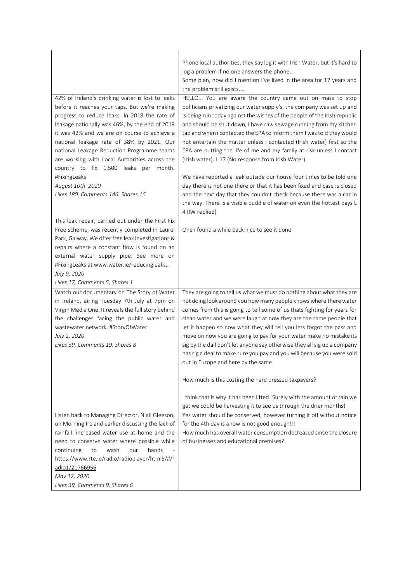| 42% of Ireland's drinking water is lost to leaks                                                                                                                                                                                                                                                                                                                                      | Phone local authorities, they say log it with Irish Water, but it's hard to<br>log a problem if no one answers the phone<br>Some plan, now did I mention I've lived in the area for 17 years and<br>the problem still exists<br>HELLO You are aware the country came out on mass to stop                                                                                                                                                                                                                                                                                                                                                                                                                                                                                      |
|---------------------------------------------------------------------------------------------------------------------------------------------------------------------------------------------------------------------------------------------------------------------------------------------------------------------------------------------------------------------------------------|-------------------------------------------------------------------------------------------------------------------------------------------------------------------------------------------------------------------------------------------------------------------------------------------------------------------------------------------------------------------------------------------------------------------------------------------------------------------------------------------------------------------------------------------------------------------------------------------------------------------------------------------------------------------------------------------------------------------------------------------------------------------------------|
| before it reaches your taps. But we're making<br>progress to reduce leaks. In 2018 the rate of<br>leakage nationally was 46%, by the end of 2019<br>it was 42% and we are on course to achieve a<br>national leakage rate of 38% by 2021. Our<br>national Leakage Reduction Programme teams<br>are working with Local Authorities across the<br>country to fix 1,500 leaks per month. | politicians privatizing our water supply's, the company was set up and<br>is being run today against the wishes of the people of the Irish republic<br>and should be shut down, I have raw sewage running from my kitchen<br>tap and when i contacted the EPA to inform them I was told they would<br>not entertain the matter unless i contacted (Irish water) first so the<br>EPA are putting the life of me and my family at risk unless I contact<br>(Irish water). L 17 (No response from Irish Water)                                                                                                                                                                                                                                                                   |
| #FixingLeaks<br>August 10th 2020<br>Likes 180. Comments 146. Shares 16                                                                                                                                                                                                                                                                                                                | We have reported a leak outside our house four times to be told one<br>day there is not one there or that it has been fixed and case is closed<br>and the next day that they couldn't check because there was a car in<br>the way. There is a visible puddle of water on even the hottest days L<br>4 (IW replied)                                                                                                                                                                                                                                                                                                                                                                                                                                                            |
| This leak repair, carried out under the First Fix<br>Free scheme, was recently completed in Laurel<br>Park, Galway. We offer free leak investigations &<br>repairs where a constant flow is found on an<br>external water supply pipe. See more on<br>#FixingLeaks at www.water.ie/reducingleaks<br>July 9, 2020<br>Likes 17, Comments 5, Shares 1                                    | One i found a while back nice to see it done                                                                                                                                                                                                                                                                                                                                                                                                                                                                                                                                                                                                                                                                                                                                  |
| Watch our documentary on The Story of Water<br>in Ireland, airing Tuesday 7th July at 7pm on<br>Virgin Media One. It reveals the full story behind<br>the challenges facing the public water and<br>wastewater network. #StoryOfWater<br>July 2, 2020<br>Likes 39, Comments 19, Shares 8                                                                                              | They are going to tell us what we must do nothing about what they are<br>not doing look around you how many people knows where there water<br>comes from this is going to tell some of us thats fighting for years for<br>clean water and we were laugh at now they are the same people that<br>let it happen so now what they will tell you lets forgot the pass and<br>move on now you are going to pay for your water make no mistake its<br>sig by the dail don't let anyone say otherwise they all sig up a company<br>has sig a deal to make sure you pay and you will because you were sold<br>out in Europe and here by the same<br>How much is this costing the hard pressed taxpayers?<br>I think that is why it has been lifted! Surely with the amount of rain we |
| Listen back to Managing Director, Niall Gleeson,<br>on Morning Ireland earlier discussing the lack of<br>rainfall, increased water use at home and the<br>need to conserve water where possible while<br>hands<br>continuing<br>wash<br>to<br>our<br>https://www.rte.ie/radio/radioplayer/html5/#/r<br>adio1/21766956<br>May 12, 2020<br>Likes 39, Comments 9, Shares 6               | get we could be harvesting it to see us through the drier months!<br>Yes water should be conserved, however turning it off without notice<br>for the 4th day is a row is not good enough!!!<br>How much has overall water consumption decreased since the closure<br>of businesses and educational premises?                                                                                                                                                                                                                                                                                                                                                                                                                                                                  |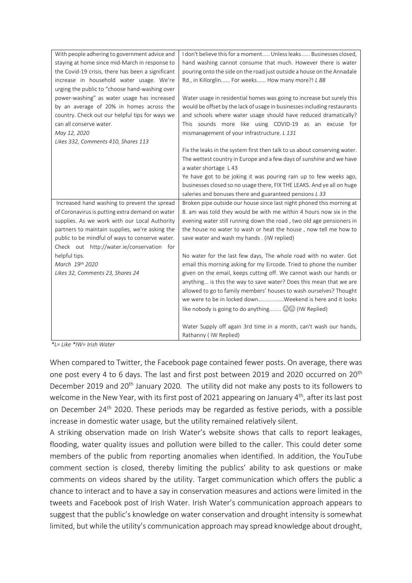| With people adhering to government advice and     | I don't believe this for a moment Unless leaks Businesses closed,         |
|---------------------------------------------------|---------------------------------------------------------------------------|
| staying at home since mid-March in response to    | hand washing cannot consume that much. However there is water             |
| the Covid-19 crisis, there has been a significant | pouring onto the side on the road just outside a house on the Annadale    |
| increase in household water usage. We're          | Rd., in Killorglin For weeks How many more?! L 88                         |
| urging the public to "choose hand-washing over    |                                                                           |
| power-washing" as water usage has increased       | Water usage in residential homes was going to increase but surely this    |
| by an average of 20% in homes across the          | would be offset by the lack of usage in businesses including restaurants  |
| country. Check out our helpful tips for ways we   | and schools where water usage should have reduced dramatically?           |
| can all conserve water.                           | This sounds more like using COVID-19 as an excuse for                     |
| May 12, 2020                                      | mismanagement of your infrastructure. L 131                               |
| Likes 332, Comments 410, Shares 113               |                                                                           |
|                                                   | Fix the leaks in the system first then talk to us about conserving water. |
|                                                   | The wettest country in Europe and a few days of sunshine and we have      |
|                                                   | a water shortage L 43                                                     |
|                                                   | Ye have got to be joking it was pouring rain up to few weeks ago,         |
|                                                   | businesses closed so no usage there, FIX THE LEAKS. And ye all on huge    |
|                                                   | saleries and bonuses there and guaranteed pensions L 33                   |
| Increased hand washing to prevent the spread      | Broken pipe outside our house since last night phoned this morning at     |
| of Coronavirus is putting extra demand on water   | 8. am was told they would be with me within 4 hours now six in the        |
| supplies. As we work with our Local Authority     | evening water still running down the road, two old age pensioners in      |
| partners to maintain supplies, we're asking the   | the house no water to wash or heat the house, now tell me how to          |
| public to be mindful of ways to conserve water.   | save water and wash my hands . (IW replied)                               |
| Check out http://water.ie/conservation for        |                                                                           |
| helpful tips.                                     | No water for the last few days, The whole road with no water. Got         |
| March 19th 2020                                   | email this morning asking for my Eircode. Tried to phone the number       |
| Likes 32, Comments 23, Shares 24                  | given on the email, keeps cutting off. We cannot wash our hands or        |
|                                                   | anything is this the way to save water? Does this mean that we are        |
|                                                   | allowed to go to family members' houses to wash ourselves? Thought        |
|                                                   | we were to be in locked downWeekend is here and it looks                  |
|                                                   | like nobody is going to do anything a. (30 (IW Replied)                   |
|                                                   | Water Supply off again 3rd time in a month, can't wash our hands,         |
|                                                   | Rathanny (IW Replied)                                                     |

*\*L= Like \*IW= Irish Water*

When compared to Twitter, the Facebook page contained fewer posts. On average, there was one post every 4 to 6 days. The last and first post between 2019 and 2020 occurred on 20<sup>th</sup> December 2019 and 20<sup>th</sup> January 2020. The utility did not make any posts to its followers to welcome in the New Year, with its first post of 2021 appearing on January 4<sup>th</sup>, after its last post on December 24<sup>th</sup> 2020. These periods may be regarded as festive periods, with a possible increase in domestic water usage, but the utility remained relatively silent.

A striking observation made on Irish Water's website shows that calls to report leakages, flooding, water quality issues and pollution were billed to the caller. This could deter some members of the public from reporting anomalies when identified. In addition, the YouTube comment section is closed, thereby limiting the publics' ability to ask questions or make comments on videos shared by the utility. Target communication which offers the public a chance to interact and to have a say in conservation measures and actions were limited in the tweets and Facebook post of Irish Water. Irish Water's communication approach appears to suggest that the public's knowledge on water conservation and drought intensity is somewhat limited, but while the utility's communication approach may spread knowledge about drought,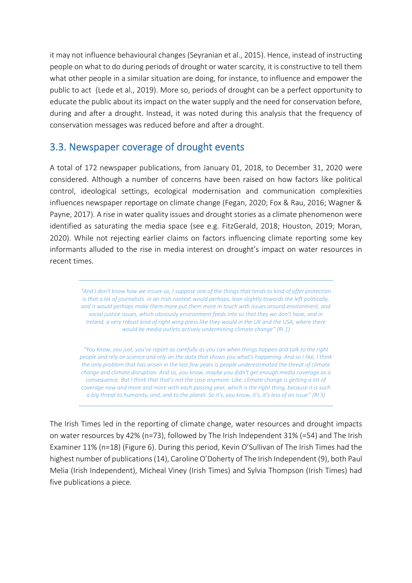it may not influence behavioural changes (Seyranian et al., 2015). Hence, instead of instructing people on what to do during periods of drought or water scarcity, it is constructive to tell them what other people in a similar situation are doing, for instance, to influence and empower the public to act (Lede et al., 2019). More so, periods of drought can be a perfect opportunity to educate the public about its impact on the water supply and the need for conservation before, during and after a drought. Instead, it was noted during this analysis that the frequency of conservation messages was reduced before and after a drought.

# <span id="page-24-0"></span>3.3. Newspaper coverage of drought events

A total of 172 newspaper publications, from January 01, 2018, to December 31, 2020 were considered. Although a number of concerns have been raised on how factors like political control, ideological settings, ecological modernisation and communication complexities influences newspaper reportage on climate change (Fegan, 2020; Fox & Rau, 2016; Wagner & Payne, 2017). A rise in water quality issues and drought stories as a climate phenomenon were identified as saturating the media space (see e.g. FitzGerald, 2018; Houston, 2019; Moran, 2020). While not rejecting earlier claims on factors influencing climate reporting some key informants alluded to the rise in media interest on drought's impact on water resources in recent times.

> *"And I don't know how we insure us, I suppose one of the things that tends to kind of offer protection is that a lot of journalists in an Irish context would perhaps, lean slightly towards the left politically, and it would perhaps make them more put them more in touch with issues around environment, and social justice issues, which obviously environment feeds into so that they we don't have, and in Ireland, a very robust kind of right wing press like they would in the UK and the USA, where there would be media outlets actively undermining climate change" (RI 1)*

> *"You know, you just, you've report as carefully as you can when things happen and talk to the right people and rely on science and rely on the data that shows you what's happening. And so I like, I think the only problem that has arisen in the last few years is people underestimated the threat of climate change and climate disruption. And so, you know, maybe you didn't get enough media coverage as a consequence. But I think that that's not the case anymore. Like, climate change is getting a lot of coverage now and more and more with each passing year, which is the right thing, because it is such a big threat to humanity, and, and to the planet. So it's, you know, it's, it's less of an issue" (RI 5)*

The Irish Times led in the reporting of climate change, water resources and drought impacts on water resources by 42% (n=73), followed by The Irish Independent 31% (=54) and The Irish Examiner 11% (n=18) (Figure 6). During this period, Kevin O'Sullivan of The Irish Times had the highest number of publications (14), Caroline O'Doherty of The Irish Independent (9), both Paul Melia (Irish Independent), Micheal Viney (Irish Times) and Sylvia Thompson (Irish Times) had five publications a piece.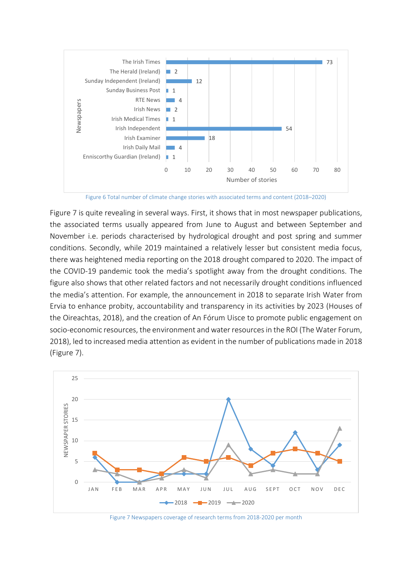

Figure 6 Total number of climate change stories with associated terms and content (2018–2020)

Figure 7 is quite revealing in several ways. First, it shows that in most newspaper publications, the associated terms usually appeared from June to August and between September and November i.e. periods characterised by hydrological drought and post spring and summer conditions. Secondly, while 2019 maintained a relatively lesser but consistent media focus, there was heightened media reporting on the 2018 drought compared to 2020. The impact of the COVID-19 pandemic took the media's spotlight away from the drought conditions. The figure also shows that other related factors and not necessarily drought conditions influenced the media's attention. For example, the announcement in 2018 to separate Irish Water from Ervia to enhance probity, accountability and transparency in its activities by 2023 (Houses of the Oireachtas, 2018), and the creation of An Fórum Uisce to promote public engagement on socio-economic resources, the environment and water resources in the ROI (The Water Forum, 2018), led to increased media attention as evident in the number of publications made in 2018 (Figure 7).



Figure 7 Newspapers coverage of research terms from 2018-2020 per month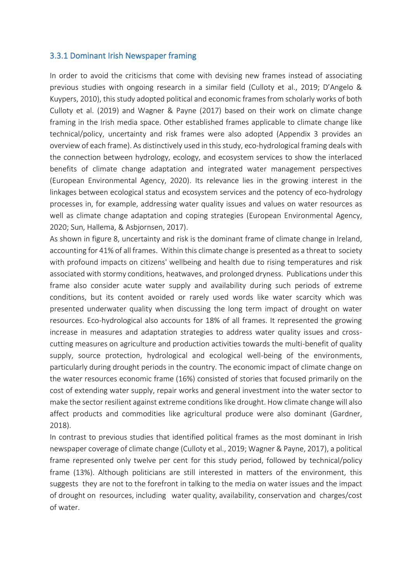#### <span id="page-26-0"></span>3.3.1 Dominant Irish Newspaper framing

In order to avoid the criticisms that come with devising new frames instead of associating previous studies with ongoing research in a similar field (Culloty et al., 2019; D'Angelo & Kuypers, 2010), this study adopted political and economic frames from scholarly works of both Culloty et al. (2019) and Wagner & Payne (2017) based on their work on climate change framing in the Irish media space. Other established frames applicable to climate change like technical/policy, uncertainty and risk frames were also adopted (Appendix 3 provides an overview of each frame). As distinctively used in this study, eco-hydrological framing deals with the connection between hydrology, ecology, and ecosystem services to show the interlaced benefits of climate change adaptation and integrated water management perspectives (European Environmental Agency, 2020). Its relevance lies in the growing interest in the linkages between ecological status and ecosystem services and the potency of eco-hydrology processes in, for example, addressing water quality issues and values on water resources as well as climate change adaptation and coping strategies (European Environmental Agency, 2020; Sun, Hallema, & Asbjornsen, 2017).

As shown in figure 8, uncertainty and risk is the dominant frame of climate change in Ireland, accounting for 41% of all frames. Within this climate change is presented as a threat to society with profound impacts on citizens' wellbeing and health due to rising temperatures and risk associated with stormy conditions, heatwaves, and prolonged dryness. Publications under this frame also consider acute water supply and availability during such periods of extreme conditions, but its content avoided or rarely used words like water scarcity which was presented underwater quality when discussing the long term impact of drought on water resources. Eco-hydrological also accounts for 18% of all frames. It represented the growing increase in measures and adaptation strategies to address water quality issues and crosscutting measures on agriculture and production activities towards the multi-benefit of quality supply, source protection, hydrological and ecological well-being of the environments, particularly during drought periods in the country. The economic impact of climate change on the water resources economic frame (16%) consisted of stories that focused primarily on the cost of extending water supply, repair works and general investment into the water sector to make the sector resilient against extreme conditions like drought. How climate change will also affect products and commodities like agricultural produce were also dominant (Gardner, 2018).

In contrast to previous studies that identified political frames as the most dominant in Irish newspaper coverage of climate change (Culloty et al., 2019; Wagner & Payne, 2017), a political frame represented only twelve per cent for this study period, followed by technical/policy frame (13%). Although politicians are still interested in matters of the environment, this suggests they are not to the forefront in talking to the media on water issues and the impact of drought on resources, including water quality, availability, conservation and charges/cost of water.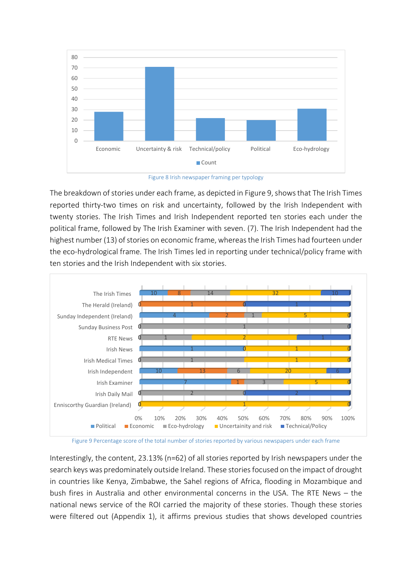

Figure 8 Irish newspaper framing per typology

The breakdown of stories under each frame, as depicted in Figure 9, shows that The Irish Times reported thirty-two times on risk and uncertainty, followed by the Irish Independent with twenty stories. The Irish Times and Irish Independent reported ten stories each under the political frame, followed by The Irish Examiner with seven. (7). The Irish Independent had the highest number (13) of stories on economic frame, whereas the Irish Times had fourteen under the eco-hydrological frame. The Irish Times led in reporting under technical/policy frame with ten stories and the Irish Independent with six stories.



Figure 9 Percentage score of the total number of stories reported by various newspapers under each frame

Interestingly, the content, 23.13% (n=62) of all stories reported by Irish newspapers under the search keys was predominately outside Ireland. These stories focused on the impact of drought in countries like Kenya, Zimbabwe, the Sahel regions of Africa, flooding in Mozambique and bush fires in Australia and other environmental concerns in the USA. The RTE News – the national news service of the ROI carried the majority of these stories. Though these stories were filtered out (Appendix 1), it affirms previous studies that shows developed countries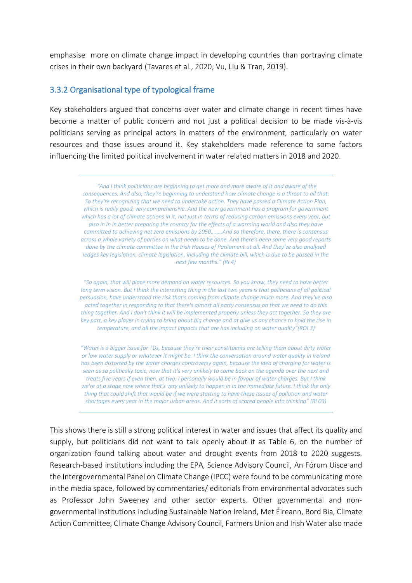emphasise more on climate change impact in developing countries than portraying climate crises in their own backyard (Tavares et al., 2020; Vu, Liu & Tran, 2019).

#### <span id="page-28-0"></span>3.3.2 Organisational type of typological frame

Key stakeholders argued that concerns over water and climate change in recent times have become a matter of public concern and not just a political decision to be made vis-à-vis politicians serving as principal actors in matters of the environment, particularly on water resources and those issues around it. Key stakeholders made reference to some factors influencing the limited political involvement in water related matters in 2018 and 2020.

*"And I think politicians are beginning to get more and more aware of it and aware of the consequences. And also, they're beginning to understand how climate change is a threat to all that. So they're recognizing that we need to undertake action. They have passed a Climate Action Plan, which is really good, very comprehensive. And the new government has a program for government which has a lot of climate actions in it, not just in terms of reducing carbon emissions every year, but also in in in better preparing the country for the effects of a warming world and also they have committed to achieving net zero emissions by 2050……..And so therefore, there, there is consensus across a whole variety of parties on what needs to be done. And there's been some very good reports done by the climate committee in the Irish Houses of Parliament at all. And they've also analysed ledges key legislation, climate legislation, including the climate bill, which is due to be passed in the next few months." (RI 4)*

*"So again, that will place more demand on water resources. So you know, they need to have better long term vision. But I think the interesting thing in the last two years is that politicians of all political persuasion, have understood the risk that's coming from climate change much more. And they've also acted together in responding to that there's almost all party consensus on that we need to do this thing together. And I don't think it will be implemented properly unless they act together. So they are key part, a key player in trying to bring about big change and at give us any chance to hold the rise in temperature, and all the impact impacts that are has including on water quality"(ROI 3)*

*"Water is a bigger issue for TDs, because they're their constituents are telling them about dirty water or low water supply or whatever it might be. I think the conversation around water quality in Ireland has been distorted by the water charges controversy again, because the idea of charging for water is seen as so politically toxic, now that it's very unlikely to come back on the agenda over the next and treats five years if even then, at two. I personally would be in favour of water charges. But I think*  we're at a stage now where that's very unlikely to happen in in the immediate future. I think the only *thing that could shift that would be if we were starting to have these Issues of pollution and water shortages every year in the major urban areas. And it sorts of scared people into thinking" (RI 03)*

This shows there is still a strong political interest in water and issues that affect its quality and supply, but politicians did not want to talk openly about it as Table 6, on the number of organization found talking about water and drought events from 2018 to 2020 suggests. Research-based institutions including the EPA, Science Advisory Council, An Fórum Uisce and the Intergovernmental Panel on Climate Change (IPCC) were found to be communicating more in the media space, followed by commentaries/ editorials from environmental advocates such as Professor John Sweeney and other sector experts. Other governmental and nongovernmental institutions including Sustainable Nation Ireland, Met Éireann, Bord Bia, Climate Action Committee, Climate Change Advisory Council, Farmers Union and Irish Water also made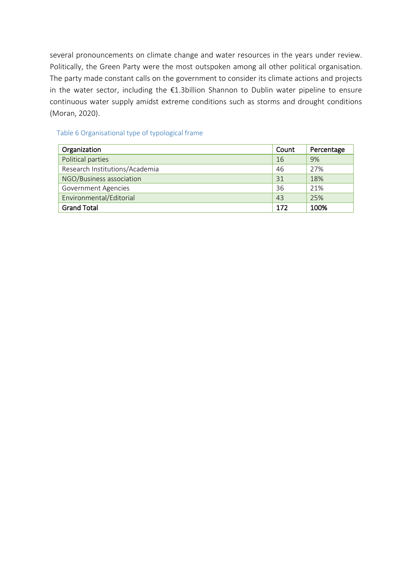several pronouncements on climate change and water resources in the years under review. Politically, the Green Party were the most outspoken among all other political organisation. The party made constant calls on the government to consider its climate actions and projects in the water sector, including the €1.3billion Shannon to Dublin water pipeline to ensure continuous water supply amidst extreme conditions such as storms and drought conditions (Moran, 2020).

#### Table 6 Organisational type of typological frame

| Organization                   | Count | Percentage |
|--------------------------------|-------|------------|
| Political parties              | 16    | 9%         |
| Research Institutions/Academia | 46    | 27%        |
| NGO/Business association       | 31    | 18%        |
| <b>Government Agencies</b>     | 36    | 21%        |
| Environmental/Editorial        | 43    | 25%        |
| <b>Grand Total</b>             | 172   | 100%       |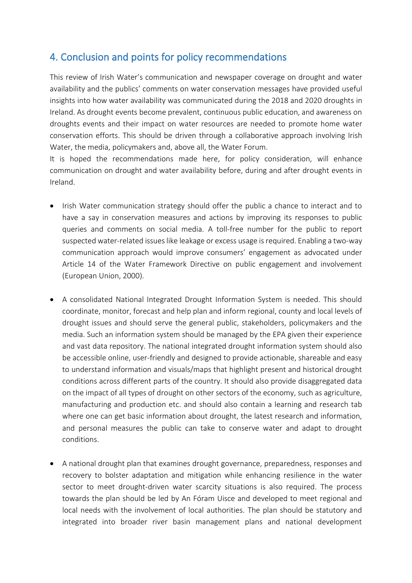# <span id="page-30-0"></span>4. Conclusion and points for policy recommendations

This review of Irish Water's communication and newspaper coverage on drought and water availability and the publics' comments on water conservation messages have provided useful insights into how water availability was communicated during the 2018 and 2020 droughts in Ireland. As drought events become prevalent, continuous public education, and awareness on droughts events and their impact on water resources are needed to promote home water conservation efforts. This should be driven through a collaborative approach involving Irish Water, the media, policymakers and, above all, the Water Forum.

It is hoped the recommendations made here, for policy consideration, will enhance communication on drought and water availability before, during and after drought events in Ireland.

- Irish Water communication strategy should offer the public a chance to interact and to have a say in conservation measures and actions by improving its responses to public queries and comments on social media. A toll-free number for the public to report suspected water-related issues like leakage or excess usage is required. Enabling a two-way communication approach would improve consumers' engagement as advocated under Article 14 of the Water Framework Directive on public engagement and involvement (European Union, 2000).
- A consolidated National Integrated Drought Information System is needed. This should coordinate, monitor, forecast and help plan and inform regional, county and local levels of drought issues and should serve the general public, stakeholders, policymakers and the media. Such an information system should be managed by the EPA given their experience and vast data repository. The national integrated drought information system should also be accessible online, user-friendly and designed to provide actionable, shareable and easy to understand information and visuals/maps that highlight present and historical drought conditions across different parts of the country. It should also provide disaggregated data on the impact of all types of drought on other sectors of the economy, such as agriculture, manufacturing and production etc. and should also contain a learning and research tab where one can get basic information about drought, the latest research and information, and personal measures the public can take to conserve water and adapt to drought conditions.
- A national drought plan that examines drought governance, preparedness, responses and recovery to bolster adaptation and mitigation while enhancing resilience in the water sector to meet drought-driven water scarcity situations is also required. The process towards the plan should be led by An Fóram Uisce and developed to meet regional and local needs with the involvement of local authorities. The plan should be statutory and integrated into broader river basin management plans and national development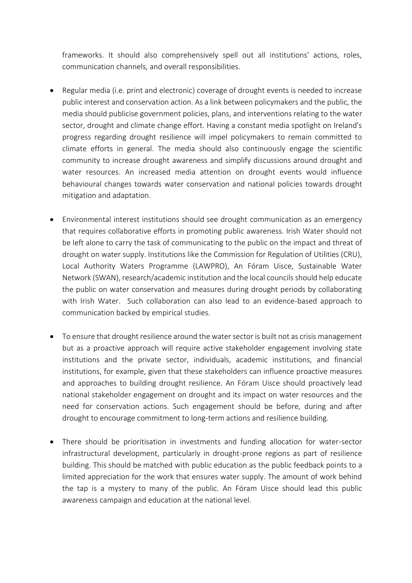frameworks. It should also comprehensively spell out all institutions' actions, roles, communication channels, and overall responsibilities.

- Regular media (i.e. print and electronic) coverage of drought events is needed to increase public interest and conservation action. As a link between policymakers and the public, the media should publicise government policies, plans, and interventions relating to the water sector, drought and climate change effort. Having a constant media spotlight on Ireland's progress regarding drought resilience will impel policymakers to remain committed to climate efforts in general. The media should also continuously engage the scientific community to increase drought awareness and simplify discussions around drought and water resources. An increased media attention on drought events would influence behavioural changes towards water conservation and national policies towards drought mitigation and adaptation.
- Environmental interest institutions should see drought communication as an emergency that requires collaborative efforts in promoting public awareness. Irish Water should not be left alone to carry the task of communicating to the public on the impact and threat of drought on water supply. Institutions like the Commission for Regulation of Utilities (CRU), Local Authority Waters Programme (LAWPRO), An Fóram Uisce, Sustainable Water Network (SWAN), research/academic institution and the local councils should help educate the public on water conservation and measures during drought periods by collaborating with Irish Water. Such collaboration can also lead to an evidence-based approach to communication backed by empirical studies.
- To ensure that drought resilience around the water sector is built not as crisis management but as a proactive approach will require active stakeholder engagement involving state institutions and the private sector, individuals, academic institutions, and financial institutions, for example, given that these stakeholders can influence proactive measures and approaches to building drought resilience. An Fóram Uisce should proactively lead national stakeholder engagement on drought and its impact on water resources and the need for conservation actions. Such engagement should be before, during and after drought to encourage commitment to long-term actions and resilience building.
- There should be prioritisation in investments and funding allocation for water-sector infrastructural development, particularly in drought-prone regions as part of resilience building. This should be matched with public education as the public feedback points to a limited appreciation for the work that ensures water supply. The amount of work behind the tap is a mystery to many of the public. An Fóram Uisce should lead this public awareness campaign and education at the national level.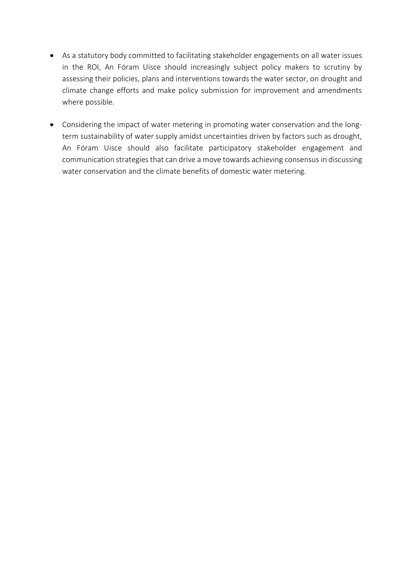- As a statutory body committed to facilitating stakeholder engagements on all water issues in the ROI, An Fóram Uisce should increasingly subject policy makers to scrutiny by assessing their policies, plans and interventions towards the water sector, on drought and climate change efforts and make policy submission for improvement and amendments where possible.
- Considering the impact of water metering in promoting water conservation and the longterm sustainability of water supply amidst uncertainties driven by factors such as drought, An Fóram Uisce should also facilitate participatory stakeholder engagement and communication strategies that can drive a move towards achieving consensus in discussing water conservation and the climate benefits of domestic water metering.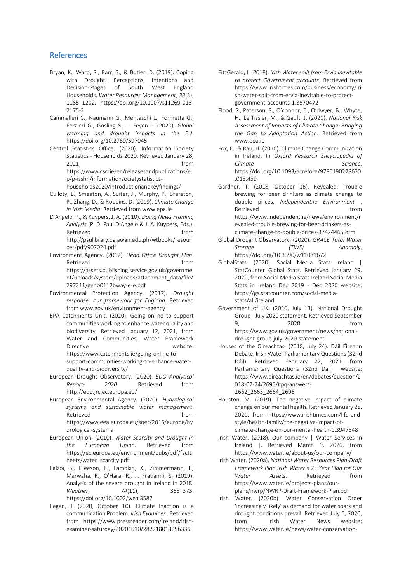#### <span id="page-33-0"></span>References

- Bryan, K., Ward, S., Barr, S., & Butler, D. (2019). Coping with Drought: Perceptions, Intentions and Decision-Stages of South West England Households. *Water Resources Management*, *33*(3), 1185–1202. https://doi.org/10.1007/s11269-018- 2175-2
- Cammalleri C., Naumann G., Mentaschi L., Formetta G., Forzieri G., Gosling S., … Feyen L. (2020). *Global warming and drought impacts in the EU*. https://doi.org/10.2760/597045
- Central Statistics Office. (2020). Information Society Statistics - Households 2020. Retrieved January 28, 2021, from https://www.cso.ie/en/releasesandpublications/e p/p-isshh/informationsocietystatisticshouseholds2020/introductionandkeyfindings/
- Culloty, E., Smeaton, A., Suiter, J., Murphy, P., Brereton, P., Zhang, D., & Robbins, D. (2019). *Climate Change in Irish Media*. Retrieved from www.epa.ie
- D'Angelo, P., & Kuypers, J. A. (2010). *Doing News Framing Analysis* (P. D. Paul D'Angelo & J. A. Kuypers, Eds.). Retrieved **from** http://psulibrary.palawan.edu.ph/wtbooks/resour ces/pdf/907024.pdf
- Environment Agency. (2012). *Head Office Drought Plan*. Retrieved **from** https://assets.publishing.service.gov.uk/governme nt/uploads/system/uploads/attachment\_data/file/ 297211/geho0112bway-e-e.pdf
- Environmental Protection Agency. (2017). *Drought response: our framework for England*. Retrieved from www.gov.uk/environment-agency
- EPA Catchments Unit. (2020). Going online to support communities working to enhance water quality and biodiversity. Retrieved January 12, 2021, from Water and Communities, Water Framework Directive website: https://www.catchments.ie/going-online-tosupport-communities-working-to-enhance-waterquality-and-biodiversity/
- European Drought Observatory. (2020). *EDO Analytical Report- 2020*. Retrieved from http://edo.jrc.ec.europa.eu/
- European Environmental Agency. (2020). *Hydrological systems and sustainable water management*. Retrieved from the state of the state of the state of the state of the state of the state of the state of the state of the state of the state of the state of the state of the state of the state of the state of the state of https://www.eea.europa.eu/soer/2015/europe/hy drological-systems
- European Union. (2010). *Water Scarcity and Drought in the European Union*. Retrieved from https://ec.europa.eu/environment/pubs/pdf/facts heets/water\_scarcity.pdf
- Falzoi, S., Gleeson, E., Lambkin, K., Zimmermann, J., Marwaha, R., O'Hara, R., … Fratianni, S. (2019). Analysis of the severe drought in Ireland in 2018. *Weather*, *74*(11), 368–373. https://doi.org/10.1002/wea.3587
- Fegan, J. (2020, October 10). Climate Inaction is a communication Problem. *Irish Examiner* . Retrieved from https://www.pressreader.com/ireland/irishexaminer-saturday/20201010/282218013256336
- FitzGerald, J. (2018). *Irish Water split from Ervia inevitable to protect Government accounts*. Retrieved from https://www.irishtimes.com/business/economy/iri sh-water-split-from-ervia-inevitable-to-protectgovernment-accounts-1.3570472
- Flood, S., Paterson, S., O'connor, E., O'dwyer, B., Whyte, H., Le Tissier, M., & Gault, J. (2020). *National Risk Assessment of Impacts of Climate Change: Bridging the Gap to Adaptation Action*. Retrieved from www.epa.ie
- Fox, E., & Rau, H. (2016). Climate Change Communication in Ireland. In *Oxford Research Encyclopedia of Climate Science*. https://doi.org/10.1093/acrefore/9780190228620 .013.459
- Gardner, T. (2018, October 16). Revealed: Trouble brewing for beer drinkers as climate change to double prices. *Independent.Ie Environment* . Retrieved from the state of the state of the state of the state of the state of the state of the state of the state of the state of the state of the state of the state of the state of the state of the state of the state of https://www.independent.ie/news/environment/r evealed-trouble-brewing-for-beer-drinkers-asclimate-change-to-double-prices-37424465.html
- Global Drought Observatory. (2020). *GRACE Total Water Storage (TWS) Anomaly*. https://doi.org/10.3390/w11081672
- GlobalStats. (2020). Social Media Stats Ireland | StatCounter Global Stats. Retrieved January 29, 2021, from Social Media Stats Ireland Social Media Stats in Ireland Dec 2019 - Dec 2020 website: https://gs.statcounter.com/social-mediastats/all/ireland
- Government of UK. (2020, July 13). National Drought Group - July 2020 statement. Retrieved September 9, 2020, from https://www.gov.uk/government/news/nationaldrought-group-july-2020-statement
- Houses of the Oireachtas. (2018, July 24). Dáil Éireann Debate. Irish Water Parliamentary Questions (32nd Dáil). Retrieved February 22, 2021, from Parliamentary Questions (32nd Dail) website: https://www.oireachtas.ie/en/debates/question/2 018-07-24/2696/#pq-answers-2662\_2663\_2664\_2696
- Houston, M. (2019). The negative impact of climate change on our mental health. Retrieved January 28, 2021, from https://www.irishtimes.com/life-andstyle/health-family/the-negative-impact-ofclimate-change-on-our-mental-health-1.3947548
- Irish Water. (2018). Our company | Water Services in Ireland |. Retrieved March 9, 2020, from https://www.water.ie/about-us/our-company/
- Irish Water. (2020a). *National Water Resources Plan-Draft Framework Plan Irish Water's 25 Year Plan for Our Water Assets*. Retrieved from https://www.water.ie/projects-plans/ourplans/nwrp/NWRP-Draft-Framework-Plan.pdf
- Irish Water. (2020b). Water Conservation Order 'increasingly likely' as demand for water soars and drought conditions prevail. Retrieved July 6, 2020, from Irish Water News website: https://www.water.ie/news/water-conservation-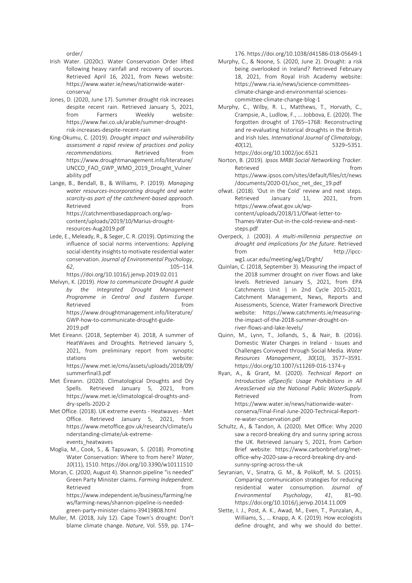order/

- Irish Water. (2020c). Water Conservation Order lifted following heavy rainfall and recovery of sources. Retrieved April 16, 2021, from News website: https://www.water.ie/news/nationwide-waterconserva/
- Jones, D. (2020, June 17). Summer drought risk increases despite recent rain. Retrieved January 5, 2021, from Farmers Weekly website: https://www.fwi.co.uk/arable/summer-droughtrisk-increases-despite-recent-rain
- King-Okumu, C. (2019). *Drought impact and vulnerability assessment a rapid review of practices and policy recommendations.* Retrieved from https://www.droughtmanagement.info/literature/ UNCCD\_FAO\_GWP\_WMO\_2019\_Drought\_Vulner ability.pdf
- Lange, B., Bendall, B., & Williams, P. (2019). *Managing water resources-Incorporating drought and water scarcity-as part of the catchment-based approach*. Retrieved **from** https://catchmentbasedapproach.org/wpcontent/uploads/2019/10/Marius-droughtresources-Aug2019.pdf
- Lede, E., Meleady, R., & Seger, C. R. (2019). Optimizing the influence of social norms interventions: Applying social identity insights to motivate residential water conservation. *Journal of Environmental Psychology*, *62*, 105–114.
- https://doi.org/10.1016/j.jenvp.2019.02.011 Melvyn, K. (2019). *How to communicate Drought A guide by the Integrated Drought Management Programme in Central and Eastern Europe*. Retrieved **from** https://www.droughtmanagement.info/literature/ GWP-how-to-communicate-drought-guide-2019.pdf
- Met Eireann. (2018, September 4). 2018, A summer of HeatWaves and Droughts. Retrieved January 5, 2021, from preliminary report from synoptic stations website: https://www.met.ie/cms/assets/uploads/2018/09/ summerfinal3.pdf
- Met Éireann. (2020). Climatological Droughts and Dry Spells. Retrieved January 5, 2021, from https://www.met.ie/climatological-droughts-anddry-spells-2020-2
- Met Office. (2018). UK extreme events Heatwaves Met Office. Retrieved January 5, 2021, from https://www.metoffice.gov.uk/research/climate/u nderstanding-climate/uk-extremeevents\_heatwaves
- Moglia, M., Cook, S., & Tapsuwan, S. (2018). Promoting Water Conservation: Where to from here? *Water*, *10*(11), 1510. https://doi.org/10.3390/w10111510
- Moran, C. (2020, August 4). Shannon pipeline "is needed" Green Party Minister claims. *Farming Independent*. Retrieved from the state of the state of the state of the state of the state of the state of the state of the state of the state of the state of the state of the state of the state of the state of the state of the state of https://www.independent.ie/business/farming/ne ws/farming-news/shannon-pipeline-is-neededgreen-party-minister-claims-39419808.html
- Muller, M. (2018, July 12). Cape Town's drought: Don't blame climate change. *Nature*, Vol. 559, pp. 174–

176. https://doi.org/10.1038/d41586-018-05649-1

- Murphy, C., & Noone, S. (2020, June 2). Drought: a risk being overlooked in Ireland? Retrieved February 18, 2021, from Royal Irish Academy website: https://www.ria.ie/news/science-committeesclimate-change-and-environmental-sciencescommittee-climate-change-blog-1
- Murphy, C., Wilby, R. L., Matthews, T., Horvath, C., Crampsie, A., Ludlow, F., … Jobbova, E. (2020). The forgotten drought of 1765–1768: Reconstructing and re‐evaluating historical droughts in the British and Irish Isles. *International Journal of Climatology*, *40*(12), 5329–5351. https://doi.org/10.1002/joc.6521
- Norton, B. (2019). *Ipsos MRBI Social Networking Tracker*. Retrieved from the state of the state of the state of the state of the state of the state of the state of the state of the state of the state of the state of the state of the state of the state of the state of the state of https://www.ipsos.com/sites/default/files/ct/news /documents/2020-01/soc\_net\_dec\_19.pdf
- ofwat. (2018). 'Out in the Cold' review and next steps. Retrieved January 11, 2021, from https://www.ofwat.gov.uk/wpcontent/uploads/2018/11/Ofwat-letter-to-Thames-Water-Out-in-the-cold-review-and-nextsteps.pdf
- Overpeck, J. (2003). *A multi-millennia perspective on drought and implications for the future*. Retrieved from http://ipccwg1.ucar.edu/meeting/wg1/Drght/
- Quinlan, C. (2018, September 3). Measuring the impact of the 2018 summer drought on river flows and lake levels. Retrieved January 5, 2021, from EPA Catchments Unit | in 2nd Cycle 2015-2021, Catchment Management, News, Reports and Assessments, Science, Water Framework Directive website: https://www.catchments.ie/measuringthe-impact-of-the-2018-summer-drought-onriver-flows-and-lake-levels/
- Quinn, M., Lynn, T., Jollands, S., & Nair, B. (2016). Domestic Water Charges in Ireland - Issues and Challenges Conveyed through Social Media. *Water Resources Management*, *30*(10), 3577–3591. https://doi.org/10.1007/s11269-016-1374-y
- Ryan, A., & Grant, M. (2020). *Technical Report on Introduction ofSpecific Usage Prohibitions in All AreasServed via the National Public WaterSupply*. Retrieved **from** https://www.water.ie/news/nationwide-waterconserva/Final-Final-June-2020-Technical-Reportre-water-conservation.pdf
- Schultz, A., & Tandon, A. (2020). Met Office: Why 2020 saw a record-breaking dry and sunny spring across the UK. Retrieved January 5, 2021, from Carbon Brief website: https://www.carbonbrief.org/metoffice-why-2020-saw-a-record-breaking-dry-andsunny-spring-across-the-uk
- Seyranian, V., Sinatra, G. M., & Polikoff, M. S. (2015). Comparing communication strategies for reducing residential water consumption. *Journal of Environmental Psychology*, *41*, 81–90. https://doi.org/10.1016/j.jenvp.2014.11.009
- Slette, I. J., Post, A. K., Awad, M., Even, T., Punzalan, A., Williams, S., … Knapp, A. K. (2019). How ecologists define drought, and why we should do better.